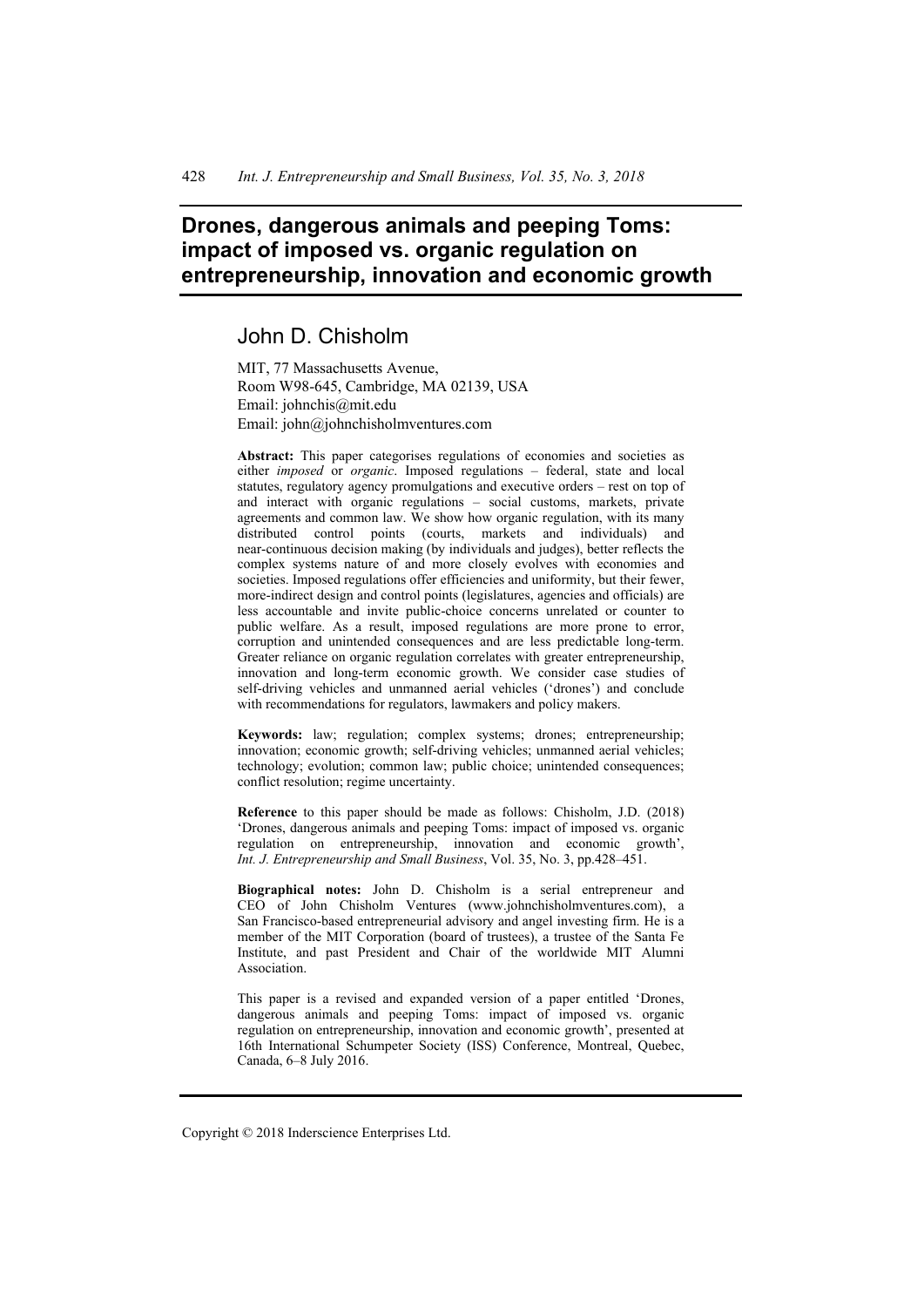# **Drones, dangerous animals and peeping Toms: impact of imposed vs. organic regulation on entrepreneurship, innovation and economic growth**

## John D. Chisholm

MIT, 77 Massachusetts Avenue, Room W98-645, Cambridge, MA 02139, USA Email: johnchis@mit.edu Email: john@johnchisholmventures.com

**Abstract:** This paper categorises regulations of economies and societies as either *imposed* or *organic*. Imposed regulations – federal, state and local statutes, regulatory agency promulgations and executive orders – rest on top of and interact with organic regulations – social customs, markets, private agreements and common law. We show how organic regulation, with its many distributed control points (courts, markets and individuals) and near-continuous decision making (by individuals and judges), better reflects the complex systems nature of and more closely evolves with economies and societies. Imposed regulations offer efficiencies and uniformity, but their fewer, more-indirect design and control points (legislatures, agencies and officials) are less accountable and invite public-choice concerns unrelated or counter to public welfare. As a result, imposed regulations are more prone to error, corruption and unintended consequences and are less predictable long-term. Greater reliance on organic regulation correlates with greater entrepreneurship, innovation and long-term economic growth. We consider case studies of self-driving vehicles and unmanned aerial vehicles ('drones') and conclude with recommendations for regulators, lawmakers and policy makers.

**Keywords:** law; regulation; complex systems; drones; entrepreneurship; innovation; economic growth; self-driving vehicles; unmanned aerial vehicles; technology; evolution; common law; public choice; unintended consequences; conflict resolution; regime uncertainty.

**Reference** to this paper should be made as follows: Chisholm, J.D. (2018) 'Drones, dangerous animals and peeping Toms: impact of imposed vs. organic regulation on entrepreneurship, innovation and economic growth', *Int. J. Entrepreneurship and Small Business*, Vol. 35, No. 3, pp.428–451.

**Biographical notes:** John D. Chisholm is a serial entrepreneur and CEO of John Chisholm Ventures (www.johnchisholmventures.com), a San Francisco-based entrepreneurial advisory and angel investing firm. He is a member of the MIT Corporation (board of trustees), a trustee of the Santa Fe Institute, and past President and Chair of the worldwide MIT Alumni Association.

This paper is a revised and expanded version of a paper entitled 'Drones, dangerous animals and peeping Toms: impact of imposed vs. organic regulation on entrepreneurship, innovation and economic growth', presented at 16th International Schumpeter Society (ISS) Conference, Montreal, Quebec, Canada, 6–8 July 2016.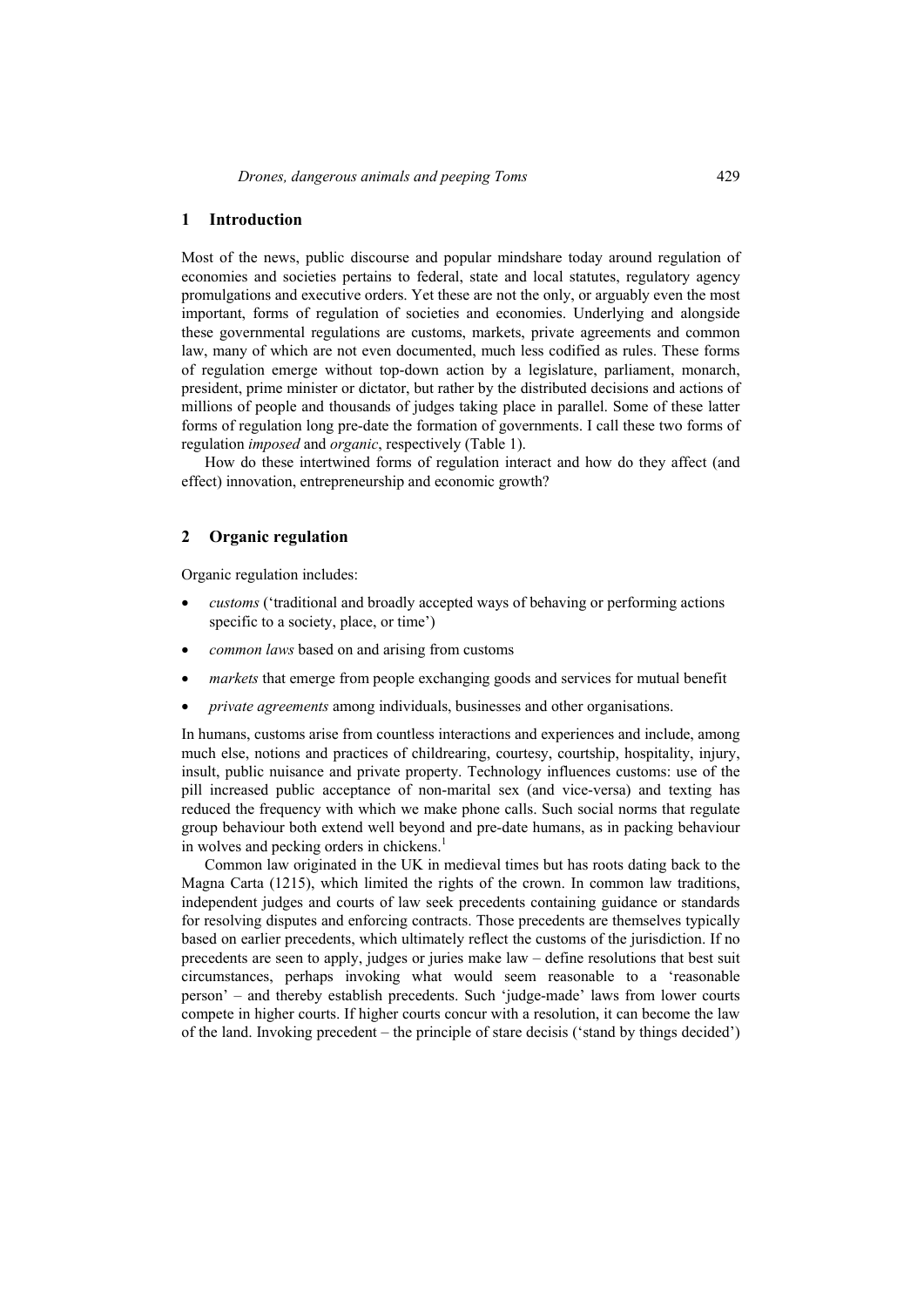## **1 Introduction**

Most of the news, public discourse and popular mindshare today around regulation of economies and societies pertains to federal, state and local statutes, regulatory agency promulgations and executive orders. Yet these are not the only, or arguably even the most important, forms of regulation of societies and economies. Underlying and alongside these governmental regulations are customs, markets, private agreements and common law, many of which are not even documented, much less codified as rules. These forms of regulation emerge without top-down action by a legislature, parliament, monarch, president, prime minister or dictator, but rather by the distributed decisions and actions of millions of people and thousands of judges taking place in parallel. Some of these latter forms of regulation long pre-date the formation of governments. I call these two forms of regulation *imposed* and *organic*, respectively (Table 1).

How do these intertwined forms of regulation interact and how do they affect (and effect) innovation, entrepreneurship and economic growth?

## **2 Organic regulation**

Organic regulation includes:

- x *customs* ('traditional and broadly accepted ways of behaving or performing actions specific to a society, place, or time')
- *common laws* based on and arising from customs
- *markets* that emerge from people exchanging goods and services for mutual benefit
- *private agreements* among individuals, businesses and other organisations.

In humans, customs arise from countless interactions and experiences and include, among much else, notions and practices of childrearing, courtesy, courtship, hospitality, injury, insult, public nuisance and private property. Technology influences customs: use of the pill increased public acceptance of non-marital sex (and vice-versa) and texting has reduced the frequency with which we make phone calls. Such social norms that regulate group behaviour both extend well beyond and pre-date humans, as in packing behaviour in wolves and pecking orders in chickens.<sup>1</sup>

Common law originated in the UK in medieval times but has roots dating back to the Magna Carta (1215), which limited the rights of the crown. In common law traditions, independent judges and courts of law seek precedents containing guidance or standards for resolving disputes and enforcing contracts. Those precedents are themselves typically based on earlier precedents, which ultimately reflect the customs of the jurisdiction. If no precedents are seen to apply, judges or juries make law – define resolutions that best suit circumstances, perhaps invoking what would seem reasonable to a 'reasonable person' – and thereby establish precedents. Such 'judge-made' laws from lower courts compete in higher courts. If higher courts concur with a resolution, it can become the law of the land. Invoking precedent – the principle of stare decisis ('stand by things decided')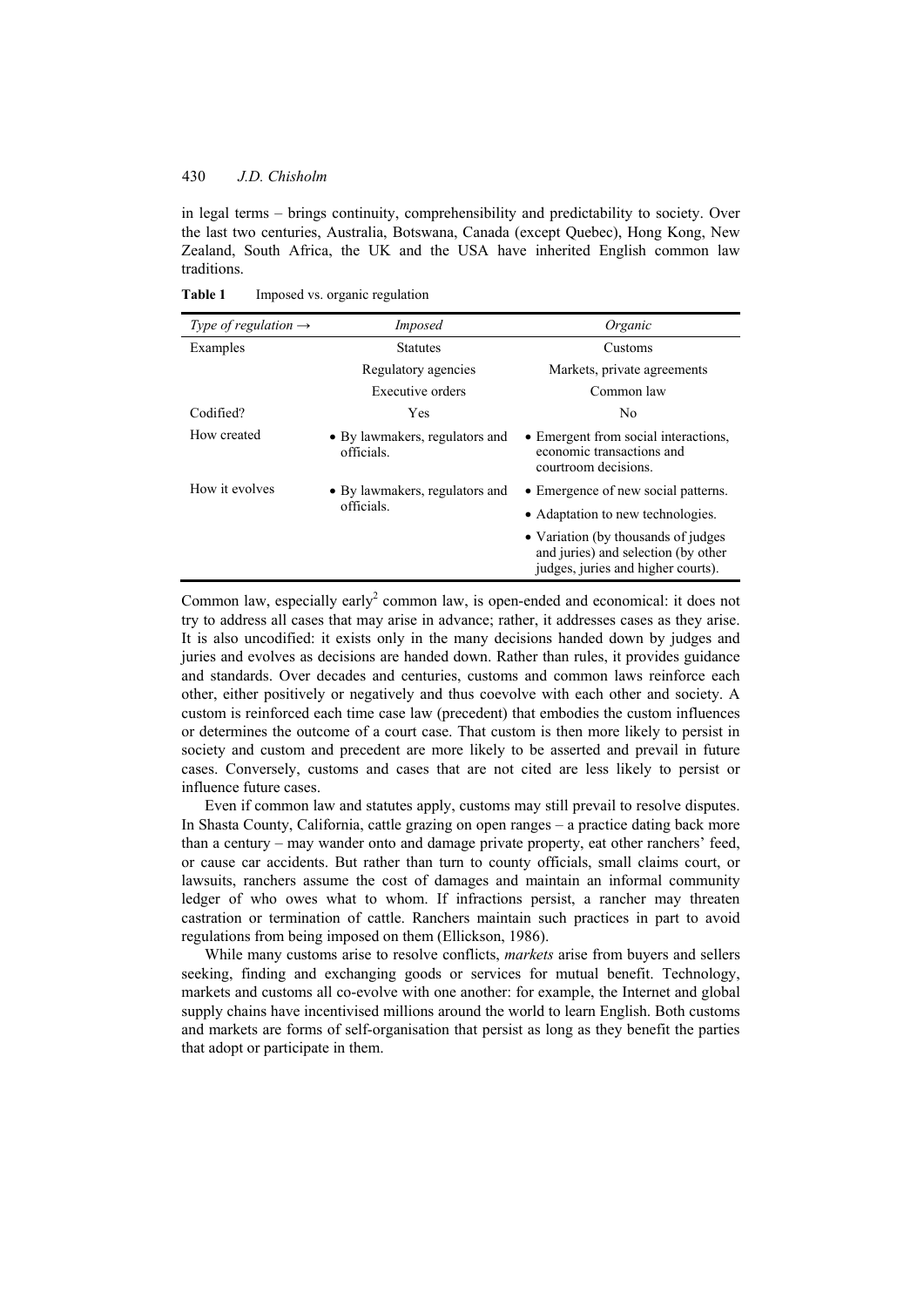in legal terms – brings continuity, comprehensibility and predictability to society. Over the last two centuries, Australia, Botswana, Canada (except Quebec), Hong Kong, New Zealand, South Africa, the UK and the USA have inherited English common law traditions.

**Table 1** Imposed vs. organic regulation

| Type of regulation $\rightarrow$ | <i>Imposed</i>                               | Organic                                                                                                          |
|----------------------------------|----------------------------------------------|------------------------------------------------------------------------------------------------------------------|
| Examples                         | <b>Statutes</b>                              | Customs                                                                                                          |
|                                  | Regulatory agencies                          | Markets, private agreements                                                                                      |
|                                  | Executive orders                             | Common law                                                                                                       |
| Codified?                        | <b>Yes</b>                                   | No.                                                                                                              |
| How created                      | • By lawmakers, regulators and<br>officials. | • Emergent from social interactions,<br>economic transactions and<br>courtroom decisions.                        |
| How it evolves                   | • By lawmakers, regulators and<br>officials. | • Emergence of new social patterns.                                                                              |
|                                  |                                              | • Adaptation to new technologies.                                                                                |
|                                  |                                              | • Variation (by thousands of judges<br>and juries) and selection (by other<br>judges, juries and higher courts). |

Common law, especially early<sup>2</sup> common law, is open-ended and economical: it does not try to address all cases that may arise in advance; rather, it addresses cases as they arise. It is also uncodified: it exists only in the many decisions handed down by judges and juries and evolves as decisions are handed down. Rather than rules, it provides guidance and standards. Over decades and centuries, customs and common laws reinforce each other, either positively or negatively and thus coevolve with each other and society. A custom is reinforced each time case law (precedent) that embodies the custom influences or determines the outcome of a court case. That custom is then more likely to persist in society and custom and precedent are more likely to be asserted and prevail in future cases. Conversely, customs and cases that are not cited are less likely to persist or influence future cases.

Even if common law and statutes apply, customs may still prevail to resolve disputes. In Shasta County, California, cattle grazing on open ranges – a practice dating back more than a century – may wander onto and damage private property, eat other ranchers' feed, or cause car accidents. But rather than turn to county officials, small claims court, or lawsuits, ranchers assume the cost of damages and maintain an informal community ledger of who owes what to whom. If infractions persist, a rancher may threaten castration or termination of cattle. Ranchers maintain such practices in part to avoid regulations from being imposed on them (Ellickson, 1986).

While many customs arise to resolve conflicts, *markets* arise from buyers and sellers seeking, finding and exchanging goods or services for mutual benefit. Technology, markets and customs all co-evolve with one another: for example, the Internet and global supply chains have incentivised millions around the world to learn English. Both customs and markets are forms of self-organisation that persist as long as they benefit the parties that adopt or participate in them.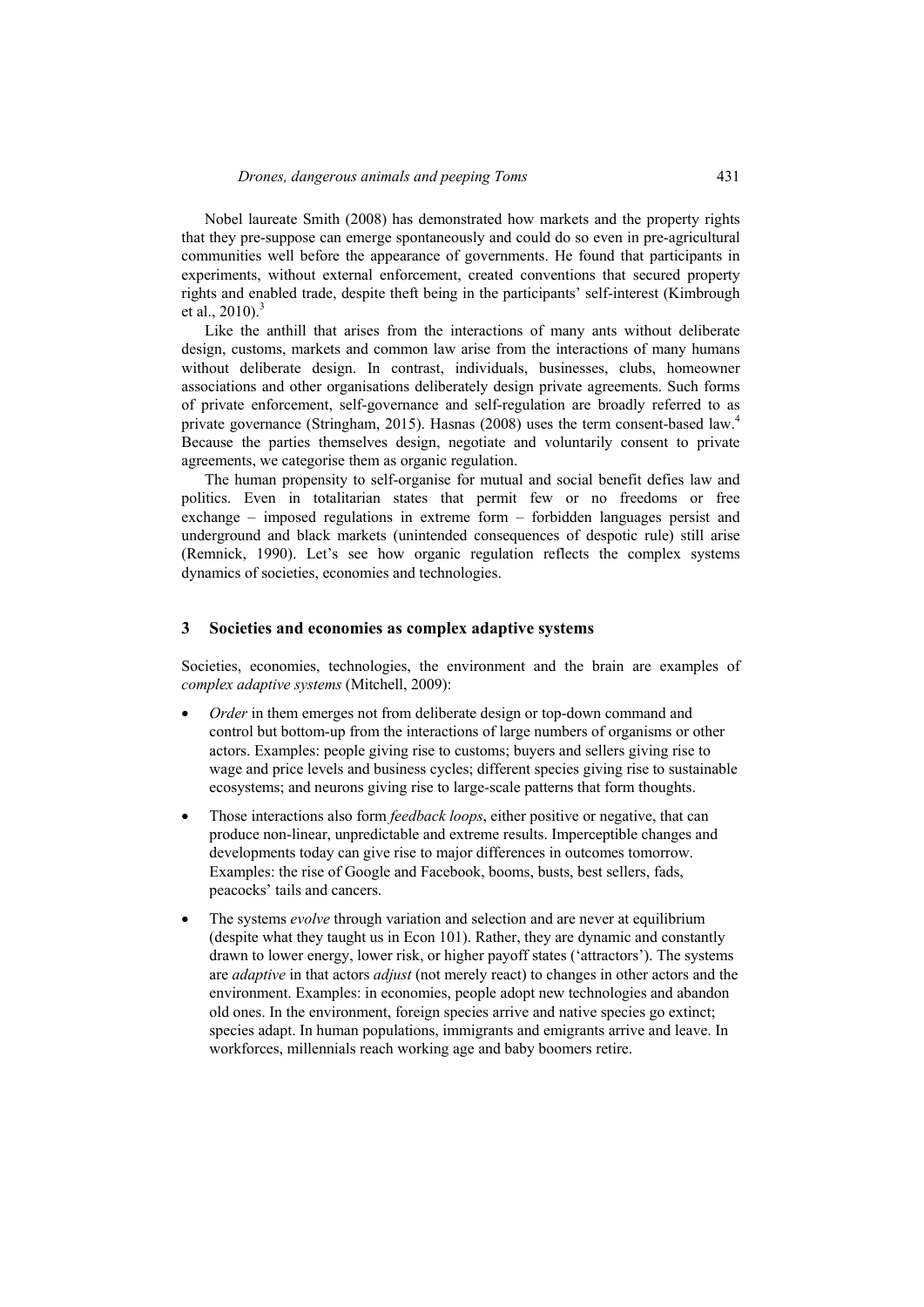Nobel laureate Smith (2008) has demonstrated how markets and the property rights that they pre-suppose can emerge spontaneously and could do so even in pre-agricultural communities well before the appearance of governments. He found that participants in experiments, without external enforcement, created conventions that secured property rights and enabled trade, despite theft being in the participants' self-interest (Kimbrough et al.,  $2010$ .<sup>3</sup>

Like the anthill that arises from the interactions of many ants without deliberate design, customs, markets and common law arise from the interactions of many humans without deliberate design. In contrast, individuals, businesses, clubs, homeowner associations and other organisations deliberately design private agreements. Such forms of private enforcement, self-governance and self-regulation are broadly referred to as private governance (Stringham, 2015). Hasnas (2008) uses the term consent-based law.<sup>4</sup> Because the parties themselves design, negotiate and voluntarily consent to private agreements, we categorise them as organic regulation.

The human propensity to self-organise for mutual and social benefit defies law and politics. Even in totalitarian states that permit few or no freedoms or free exchange – imposed regulations in extreme form – forbidden languages persist and underground and black markets (unintended consequences of despotic rule) still arise (Remnick, 1990). Let's see how organic regulation reflects the complex systems dynamics of societies, economies and technologies.

## **3 Societies and economies as complex adaptive systems**

Societies, economies, technologies, the environment and the brain are examples of *complex adaptive systems* (Mitchell, 2009):

- *Order* in them emerges not from deliberate design or top-down command and control but bottom-up from the interactions of large numbers of organisms or other actors. Examples: people giving rise to customs; buyers and sellers giving rise to wage and price levels and business cycles; different species giving rise to sustainable ecosystems; and neurons giving rise to large-scale patterns that form thoughts.
- Those interactions also form *feedback loops*, either positive or negative, that can produce non-linear, unpredictable and extreme results. Imperceptible changes and developments today can give rise to major differences in outcomes tomorrow. Examples: the rise of Google and Facebook, booms, busts, best sellers, fads, peacocks' tails and cancers.
- The systems *evolve* through variation and selection and are never at equilibrium (despite what they taught us in Econ 101). Rather, they are dynamic and constantly drawn to lower energy, lower risk, or higher payoff states ('attractors'). The systems are *adaptive* in that actors *adjust* (not merely react) to changes in other actors and the environment. Examples: in economies, people adopt new technologies and abandon old ones. In the environment, foreign species arrive and native species go extinct; species adapt. In human populations, immigrants and emigrants arrive and leave. In workforces, millennials reach working age and baby boomers retire.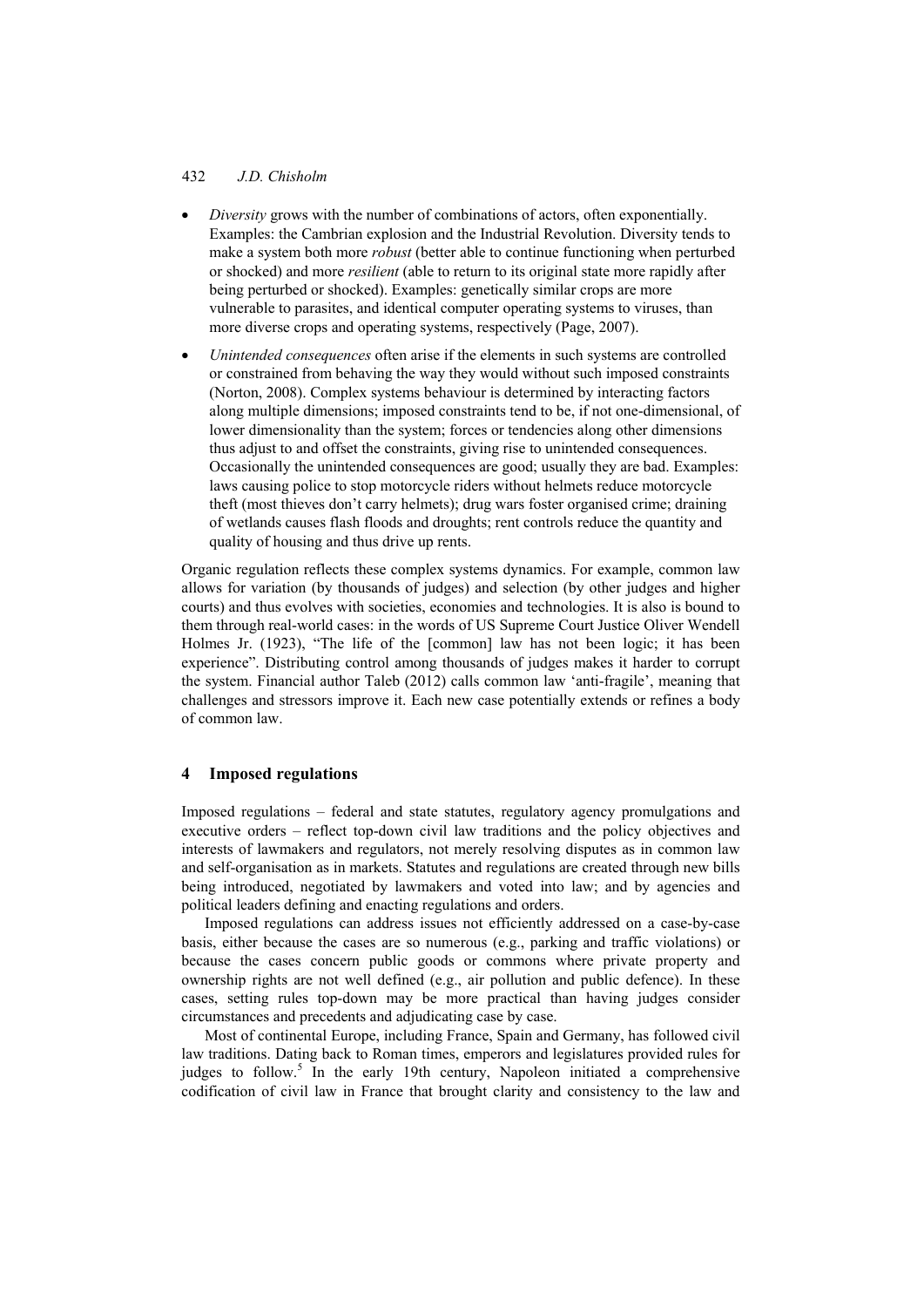- *Diversity* grows with the number of combinations of actors, often exponentially. Examples: the Cambrian explosion and the Industrial Revolution. Diversity tends to make a system both more *robust* (better able to continue functioning when perturbed or shocked) and more *resilient* (able to return to its original state more rapidly after being perturbed or shocked). Examples: genetically similar crops are more vulnerable to parasites, and identical computer operating systems to viruses, than more diverse crops and operating systems, respectively (Page, 2007).
- *Unintended consequences* often arise if the elements in such systems are controlled or constrained from behaving the way they would without such imposed constraints (Norton, 2008). Complex systems behaviour is determined by interacting factors along multiple dimensions; imposed constraints tend to be, if not one-dimensional, of lower dimensionality than the system; forces or tendencies along other dimensions thus adjust to and offset the constraints, giving rise to unintended consequences. Occasionally the unintended consequences are good; usually they are bad. Examples: laws causing police to stop motorcycle riders without helmets reduce motorcycle theft (most thieves don't carry helmets); drug wars foster organised crime; draining of wetlands causes flash floods and droughts; rent controls reduce the quantity and quality of housing and thus drive up rents.

Organic regulation reflects these complex systems dynamics. For example, common law allows for variation (by thousands of judges) and selection (by other judges and higher courts) and thus evolves with societies, economies and technologies. It is also is bound to them through real-world cases: in the words of US Supreme Court Justice Oliver Wendell Holmes Jr. (1923), "The life of the [common] law has not been logic; it has been experience". Distributing control among thousands of judges makes it harder to corrupt the system. Financial author Taleb (2012) calls common law 'anti-fragile', meaning that challenges and stressors improve it. Each new case potentially extends or refines a body of common law.

## **4 Imposed regulations**

Imposed regulations – federal and state statutes, regulatory agency promulgations and executive orders – reflect top-down civil law traditions and the policy objectives and interests of lawmakers and regulators, not merely resolving disputes as in common law and self-organisation as in markets. Statutes and regulations are created through new bills being introduced, negotiated by lawmakers and voted into law; and by agencies and political leaders defining and enacting regulations and orders.

Imposed regulations can address issues not efficiently addressed on a case-by-case basis, either because the cases are so numerous (e.g., parking and traffic violations) or because the cases concern public goods or commons where private property and ownership rights are not well defined (e.g., air pollution and public defence). In these cases, setting rules top-down may be more practical than having judges consider circumstances and precedents and adjudicating case by case.

Most of continental Europe, including France, Spain and Germany, has followed civil law traditions. Dating back to Roman times, emperors and legislatures provided rules for judges to follow.<sup>5</sup> In the early 19th century, Napoleon initiated a comprehensive codification of civil law in France that brought clarity and consistency to the law and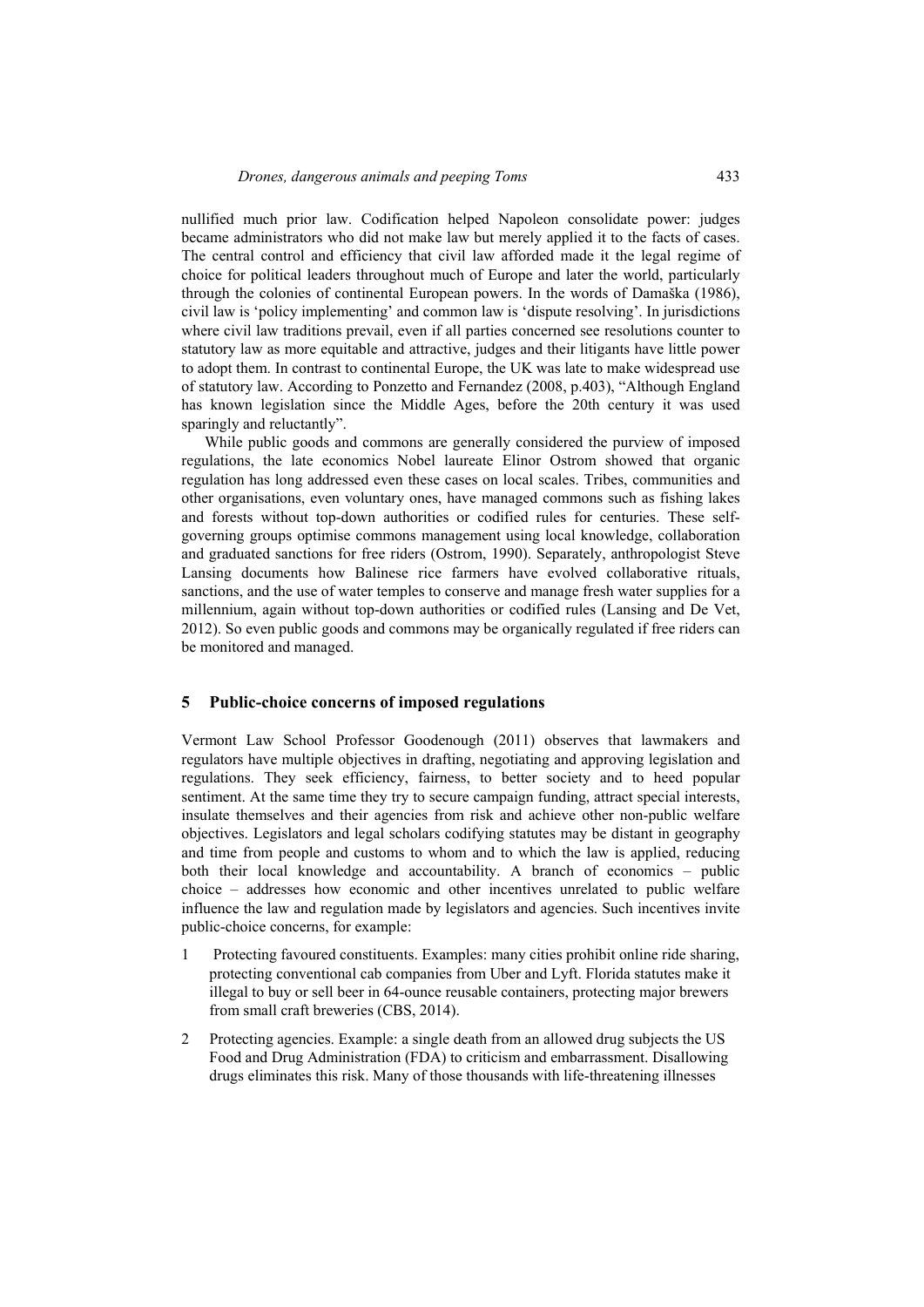nullified much prior law. Codification helped Napoleon consolidate power: judges became administrators who did not make law but merely applied it to the facts of cases. The central control and efficiency that civil law afforded made it the legal regime of choice for political leaders throughout much of Europe and later the world, particularly through the colonies of continental European powers. In the words of Damaška (1986), civil law is 'policy implementing' and common law is 'dispute resolving'. In jurisdictions where civil law traditions prevail, even if all parties concerned see resolutions counter to statutory law as more equitable and attractive, judges and their litigants have little power to adopt them. In contrast to continental Europe, the UK was late to make widespread use of statutory law. According to Ponzetto and Fernandez (2008, p.403), "Although England has known legislation since the Middle Ages, before the 20th century it was used sparingly and reluctantly".

While public goods and commons are generally considered the purview of imposed regulations, the late economics Nobel laureate Elinor Ostrom showed that organic regulation has long addressed even these cases on local scales. Tribes, communities and other organisations, even voluntary ones, have managed commons such as fishing lakes and forests without top-down authorities or codified rules for centuries. These selfgoverning groups optimise commons management using local knowledge, collaboration and graduated sanctions for free riders (Ostrom, 1990). Separately, anthropologist Steve Lansing documents how Balinese rice farmers have evolved collaborative rituals, sanctions, and the use of water temples to conserve and manage fresh water supplies for a millennium, again without top-down authorities or codified rules (Lansing and De Vet, 2012). So even public goods and commons may be organically regulated if free riders can be monitored and managed.

## **5 Public-choice concerns of imposed regulations**

Vermont Law School Professor Goodenough (2011) observes that lawmakers and regulators have multiple objectives in drafting, negotiating and approving legislation and regulations. They seek efficiency, fairness, to better society and to heed popular sentiment. At the same time they try to secure campaign funding, attract special interests, insulate themselves and their agencies from risk and achieve other non-public welfare objectives. Legislators and legal scholars codifying statutes may be distant in geography and time from people and customs to whom and to which the law is applied, reducing both their local knowledge and accountability. A branch of economics – public choice – addresses how economic and other incentives unrelated to public welfare influence the law and regulation made by legislators and agencies. Such incentives invite public-choice concerns, for example:

- 1 Protecting favoured constituents. Examples: many cities prohibit online ride sharing, protecting conventional cab companies from Uber and Lyft. Florida statutes make it illegal to buy or sell beer in 64-ounce reusable containers, protecting major brewers from small craft breweries (CBS, 2014).
- 2 Protecting agencies. Example: a single death from an allowed drug subjects the US Food and Drug Administration (FDA) to criticism and embarrassment. Disallowing drugs eliminates this risk. Many of those thousands with life-threatening illnesses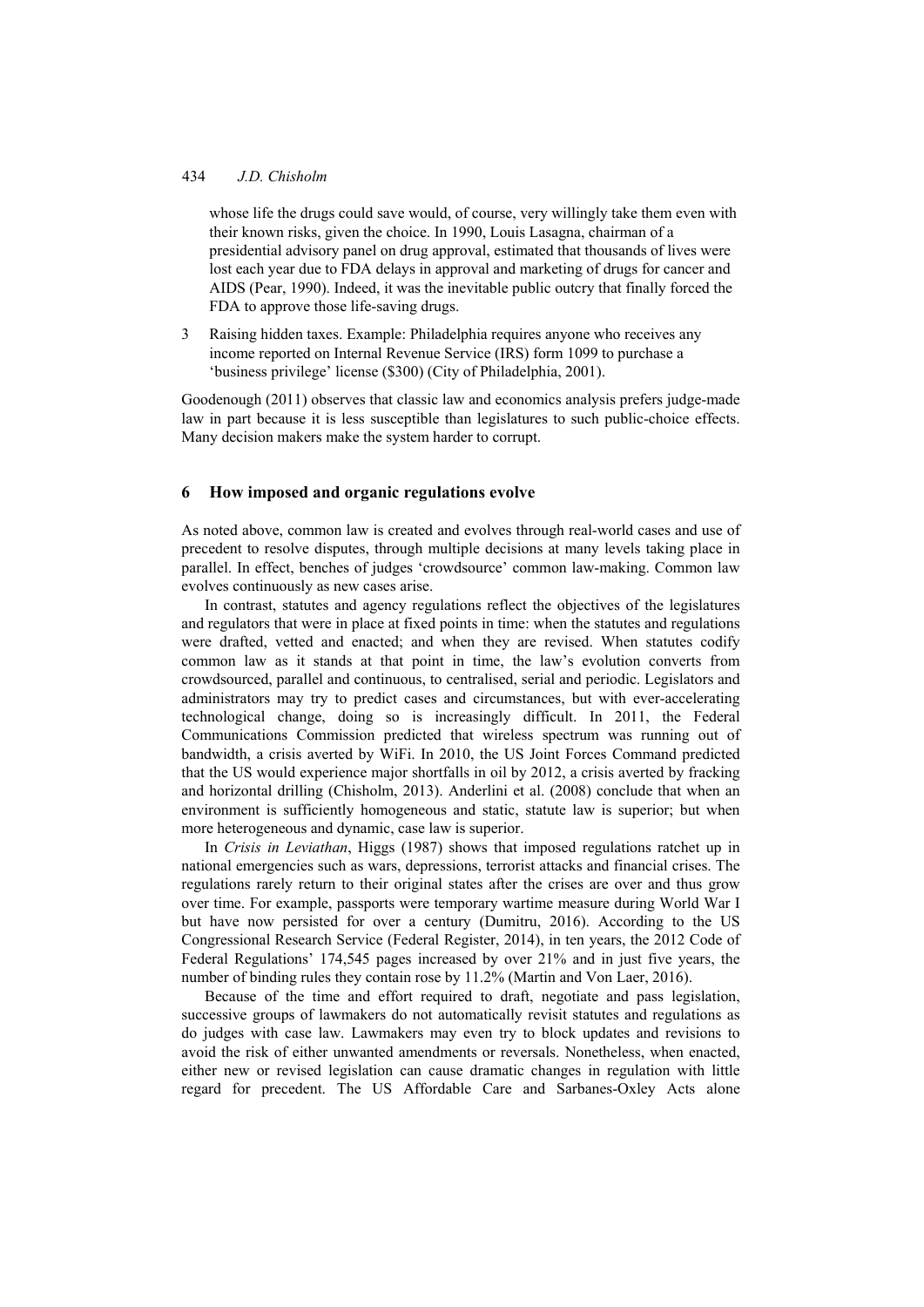whose life the drugs could save would, of course, very willingly take them even with their known risks, given the choice. In 1990, Louis Lasagna, chairman of a presidential advisory panel on drug approval, estimated that thousands of lives were lost each year due to FDA delays in approval and marketing of drugs for cancer and AIDS (Pear, 1990). Indeed, it was the inevitable public outcry that finally forced the FDA to approve those life-saving drugs.

3 Raising hidden taxes. Example: Philadelphia requires anyone who receives any income reported on Internal Revenue Service (IRS) form 1099 to purchase a 'business privilege' license (\$300) (City of Philadelphia, 2001).

Goodenough (2011) observes that classic law and economics analysis prefers judge-made law in part because it is less susceptible than legislatures to such public-choice effects. Many decision makers make the system harder to corrupt.

## **6 How imposed and organic regulations evolve**

As noted above, common law is created and evolves through real-world cases and use of precedent to resolve disputes, through multiple decisions at many levels taking place in parallel. In effect, benches of judges 'crowdsource' common law-making. Common law evolves continuously as new cases arise.

In contrast, statutes and agency regulations reflect the objectives of the legislatures and regulators that were in place at fixed points in time: when the statutes and regulations were drafted, vetted and enacted; and when they are revised. When statutes codify common law as it stands at that point in time, the law's evolution converts from crowdsourced, parallel and continuous, to centralised, serial and periodic. Legislators and administrators may try to predict cases and circumstances, but with ever-accelerating technological change, doing so is increasingly difficult. In 2011, the Federal Communications Commission predicted that wireless spectrum was running out of bandwidth, a crisis averted by WiFi. In 2010, the US Joint Forces Command predicted that the US would experience major shortfalls in oil by 2012, a crisis averted by fracking and horizontal drilling (Chisholm, 2013). Anderlini et al. (2008) conclude that when an environment is sufficiently homogeneous and static, statute law is superior; but when more heterogeneous and dynamic, case law is superior.

In *Crisis in Leviathan*, Higgs (1987) shows that imposed regulations ratchet up in national emergencies such as wars, depressions, terrorist attacks and financial crises. The regulations rarely return to their original states after the crises are over and thus grow over time. For example, passports were temporary wartime measure during World War I but have now persisted for over a century (Dumitru, 2016). According to the US Congressional Research Service (Federal Register, 2014), in ten years, the 2012 Code of Federal Regulations' 174,545 pages increased by over 21% and in just five years, the number of binding rules they contain rose by 11.2% (Martin and Von Laer, 2016).

Because of the time and effort required to draft, negotiate and pass legislation, successive groups of lawmakers do not automatically revisit statutes and regulations as do judges with case law. Lawmakers may even try to block updates and revisions to avoid the risk of either unwanted amendments or reversals. Nonetheless, when enacted, either new or revised legislation can cause dramatic changes in regulation with little regard for precedent. The US Affordable Care and Sarbanes-Oxley Acts alone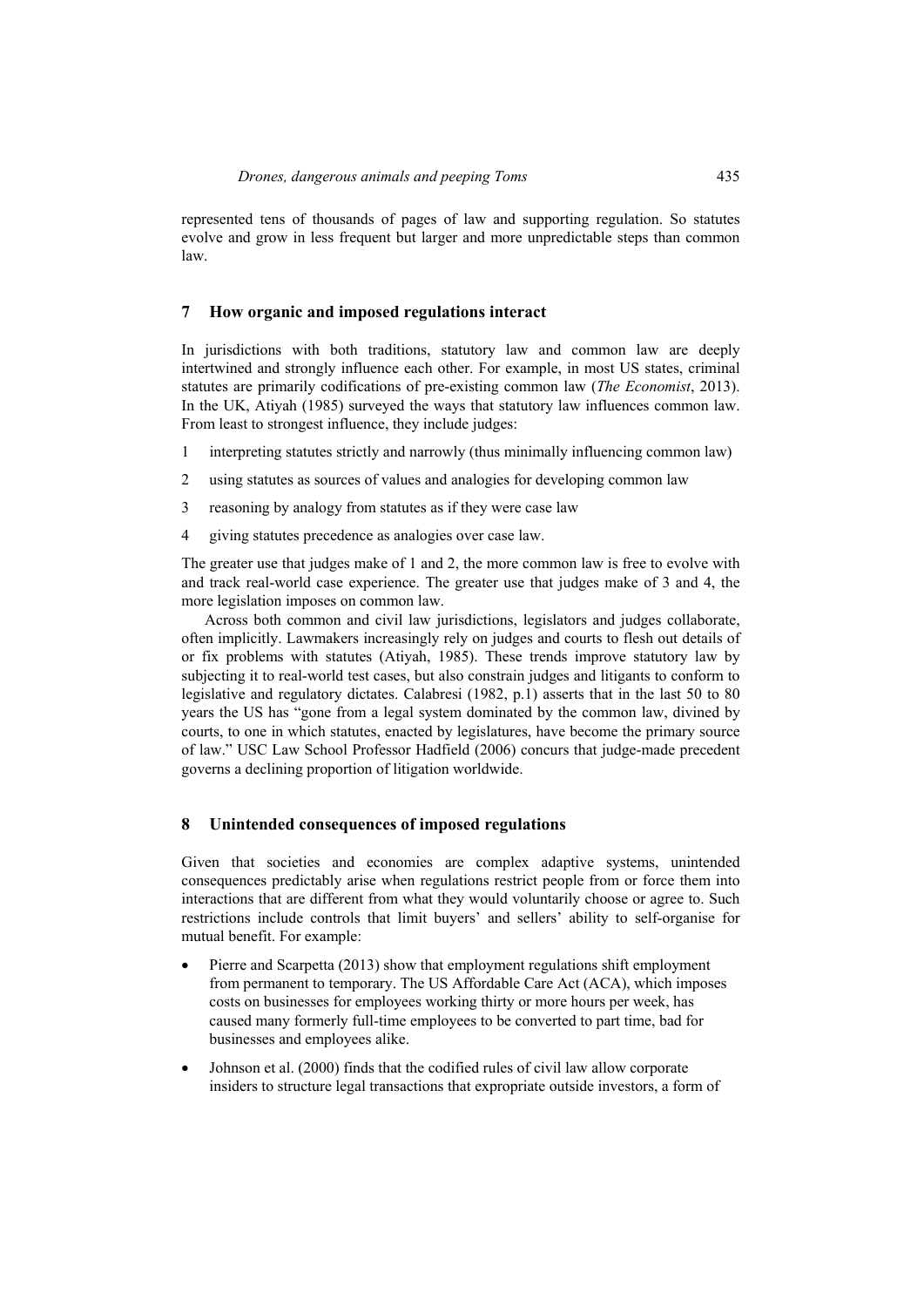represented tens of thousands of pages of law and supporting regulation. So statutes evolve and grow in less frequent but larger and more unpredictable steps than common law.

## **7 How organic and imposed regulations interact**

In jurisdictions with both traditions, statutory law and common law are deeply intertwined and strongly influence each other. For example, in most US states, criminal statutes are primarily codifications of pre-existing common law (*The Economist*, 2013). In the UK, Atiyah (1985) surveyed the ways that statutory law influences common law. From least to strongest influence, they include judges:

- 1 interpreting statutes strictly and narrowly (thus minimally influencing common law)
- 2 using statutes as sources of values and analogies for developing common law
- 3 reasoning by analogy from statutes as if they were case law
- 4 giving statutes precedence as analogies over case law.

The greater use that judges make of 1 and 2, the more common law is free to evolve with and track real-world case experience. The greater use that judges make of 3 and 4, the more legislation imposes on common law.

Across both common and civil law jurisdictions, legislators and judges collaborate, often implicitly. Lawmakers increasingly rely on judges and courts to flesh out details of or fix problems with statutes (Atiyah, 1985). These trends improve statutory law by subjecting it to real-world test cases, but also constrain judges and litigants to conform to legislative and regulatory dictates. Calabresi (1982, p.1) asserts that in the last 50 to 80 years the US has "gone from a legal system dominated by the common law, divined by courts, to one in which statutes, enacted by legislatures, have become the primary source of law." USC Law School Professor Hadfield (2006) concurs that judge-made precedent governs a declining proportion of litigation worldwide.

## **8 Unintended consequences of imposed regulations**

Given that societies and economies are complex adaptive systems, unintended consequences predictably arise when regulations restrict people from or force them into interactions that are different from what they would voluntarily choose or agree to. Such restrictions include controls that limit buyers' and sellers' ability to self-organise for mutual benefit. For example:

- Pierre and Scarpetta (2013) show that employment regulations shift employment from permanent to temporary. The US Affordable Care Act (ACA), which imposes costs on businesses for employees working thirty or more hours per week, has caused many formerly full-time employees to be converted to part time, bad for businesses and employees alike.
- Johnson et al. (2000) finds that the codified rules of civil law allow corporate insiders to structure legal transactions that expropriate outside investors, a form of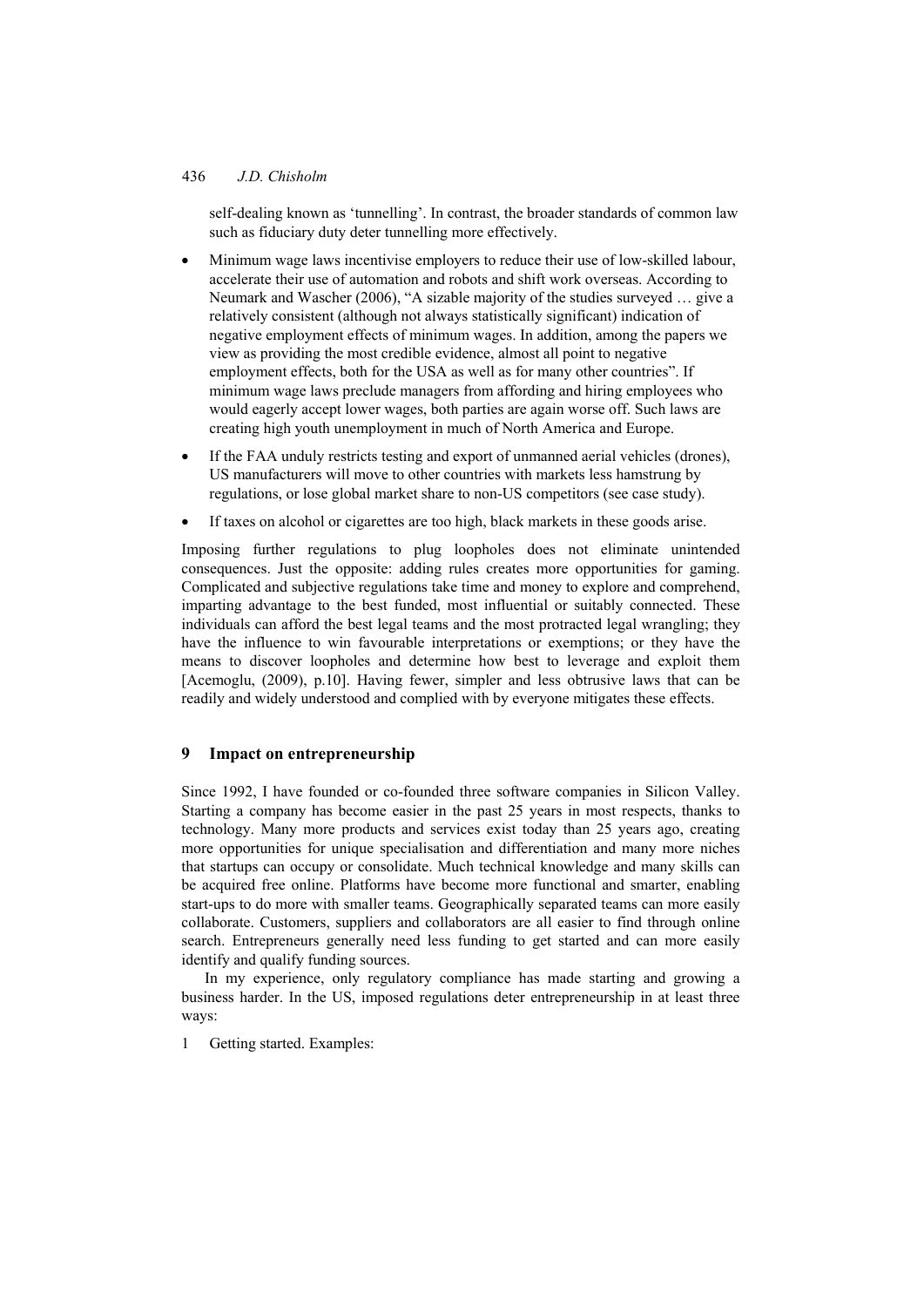self-dealing known as 'tunnelling'. In contrast, the broader standards of common law such as fiduciary duty deter tunnelling more effectively.

- Minimum wage laws incentivise employers to reduce their use of low-skilled labour, accelerate their use of automation and robots and shift work overseas. According to Neumark and Wascher (2006), "A sizable majority of the studies surveyed … give a relatively consistent (although not always statistically significant) indication of negative employment effects of minimum wages. In addition, among the papers we view as providing the most credible evidence, almost all point to negative employment effects, both for the USA as well as for many other countries". If minimum wage laws preclude managers from affording and hiring employees who would eagerly accept lower wages, both parties are again worse off. Such laws are creating high youth unemployment in much of North America and Europe.
- If the FAA unduly restricts testing and export of unmanned aerial vehicles (drones), US manufacturers will move to other countries with markets less hamstrung by regulations, or lose global market share to non-US competitors (see case study).
- If taxes on alcohol or cigarettes are too high, black markets in these goods arise.

Imposing further regulations to plug loopholes does not eliminate unintended consequences. Just the opposite: adding rules creates more opportunities for gaming. Complicated and subjective regulations take time and money to explore and comprehend, imparting advantage to the best funded, most influential or suitably connected. These individuals can afford the best legal teams and the most protracted legal wrangling; they have the influence to win favourable interpretations or exemptions; or they have the means to discover loopholes and determine how best to leverage and exploit them [Acemoglu, (2009), p.10]. Having fewer, simpler and less obtrusive laws that can be readily and widely understood and complied with by everyone mitigates these effects.

## **9 Impact on entrepreneurship**

Since 1992, I have founded or co-founded three software companies in Silicon Valley. Starting a company has become easier in the past 25 years in most respects, thanks to technology. Many more products and services exist today than 25 years ago, creating more opportunities for unique specialisation and differentiation and many more niches that startups can occupy or consolidate. Much technical knowledge and many skills can be acquired free online. Platforms have become more functional and smarter, enabling start-ups to do more with smaller teams. Geographically separated teams can more easily collaborate. Customers, suppliers and collaborators are all easier to find through online search. Entrepreneurs generally need less funding to get started and can more easily identify and qualify funding sources.

In my experience, only regulatory compliance has made starting and growing a business harder. In the US, imposed regulations deter entrepreneurship in at least three ways:

1 Getting started. Examples: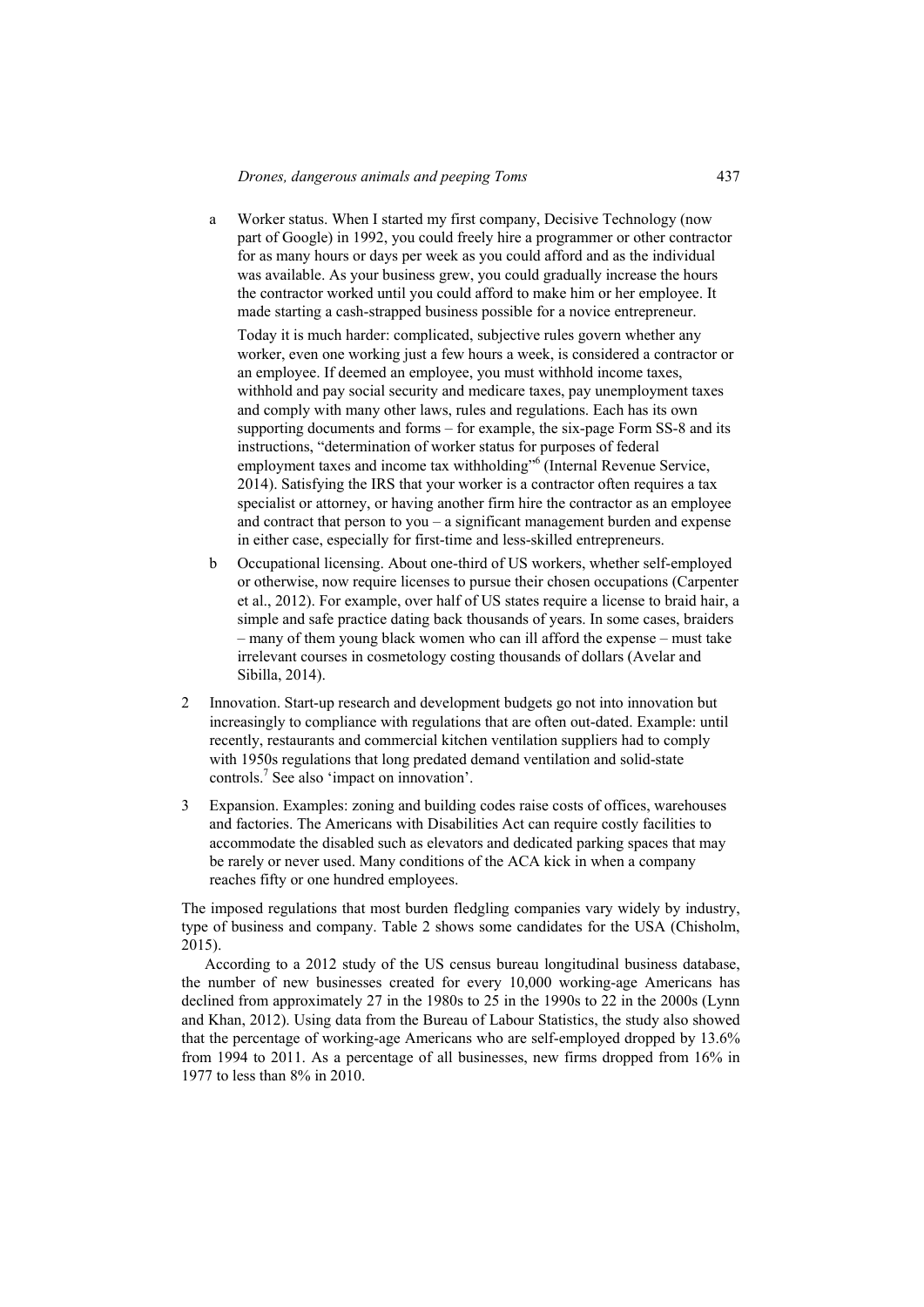a Worker status. When I started my first company, Decisive Technology (now part of Google) in 1992, you could freely hire a programmer or other contractor for as many hours or days per week as you could afford and as the individual was available. As your business grew, you could gradually increase the hours the contractor worked until you could afford to make him or her employee. It made starting a cash-strapped business possible for a novice entrepreneur.

 Today it is much harder: complicated, subjective rules govern whether any worker, even one working just a few hours a week, is considered a contractor or an employee. If deemed an employee, you must withhold income taxes, withhold and pay social security and medicare taxes, pay unemployment taxes and comply with many other laws, rules and regulations. Each has its own supporting documents and forms – for example, the six-page Form SS-8 and its instructions, "determination of worker status for purposes of federal employment taxes and income tax withholding"<sup>6</sup> (Internal Revenue Service, 2014). Satisfying the IRS that your worker is a contractor often requires a tax specialist or attorney, or having another firm hire the contractor as an employee and contract that person to you – a significant management burden and expense in either case, especially for first-time and less-skilled entrepreneurs.

- b Occupational licensing. About one-third of US workers, whether self-employed or otherwise, now require licenses to pursue their chosen occupations (Carpenter et al., 2012). For example, over half of US states require a license to braid hair, a simple and safe practice dating back thousands of years. In some cases, braiders – many of them young black women who can ill afford the expense – must take irrelevant courses in cosmetology costing thousands of dollars (Avelar and Sibilla, 2014).
- 2 Innovation. Start-up research and development budgets go not into innovation but increasingly to compliance with regulations that are often out-dated. Example: until recently, restaurants and commercial kitchen ventilation suppliers had to comply with 1950s regulations that long predated demand ventilation and solid-state controls.<sup>7</sup> See also 'impact on innovation'.
- 3 Expansion. Examples: zoning and building codes raise costs of offices, warehouses and factories. The Americans with Disabilities Act can require costly facilities to accommodate the disabled such as elevators and dedicated parking spaces that may be rarely or never used. Many conditions of the ACA kick in when a company reaches fifty or one hundred employees.

The imposed regulations that most burden fledgling companies vary widely by industry, type of business and company. Table 2 shows some candidates for the USA (Chisholm, 2015).

According to a 2012 study of the US census bureau longitudinal business database, the number of new businesses created for every 10,000 working-age Americans has declined from approximately 27 in the 1980s to 25 in the 1990s to 22 in the 2000s (Lynn and Khan, 2012). Using data from the Bureau of Labour Statistics, the study also showed that the percentage of working-age Americans who are self-employed dropped by 13.6% from 1994 to 2011. As a percentage of all businesses, new firms dropped from 16% in 1977 to less than 8% in 2010.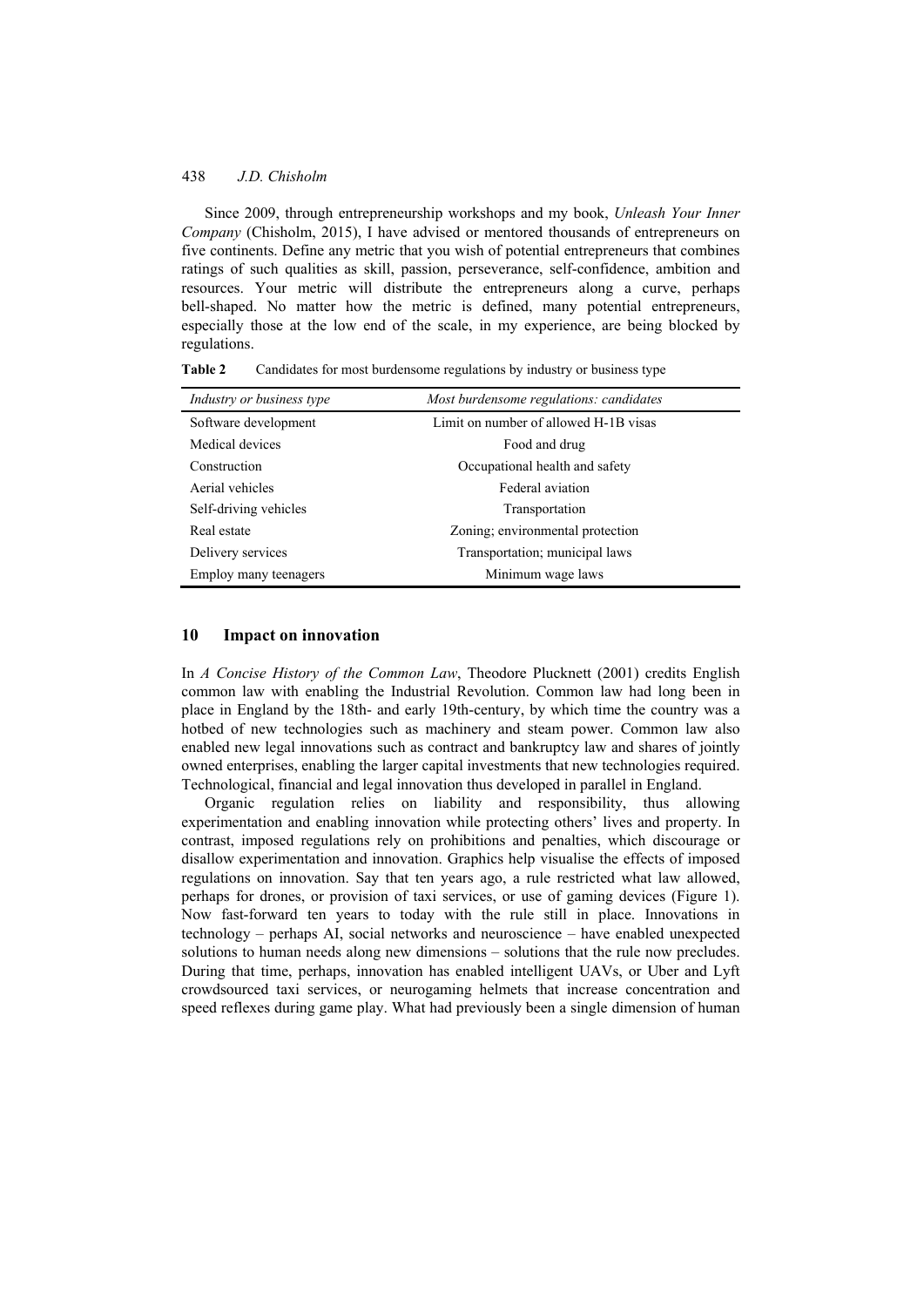Since 2009, through entrepreneurship workshops and my book, *Unleash Your Inner Company* (Chisholm, 2015), I have advised or mentored thousands of entrepreneurs on five continents. Define any metric that you wish of potential entrepreneurs that combines ratings of such qualities as skill, passion, perseverance, self-confidence, ambition and resources. Your metric will distribute the entrepreneurs along a curve, perhaps bell-shaped. No matter how the metric is defined, many potential entrepreneurs, especially those at the low end of the scale, in my experience, are being blocked by regulations.

| Industry or business type | Most burdensome regulations: candidates |  |
|---------------------------|-----------------------------------------|--|
| Software development      | Limit on number of allowed H-1B visas   |  |
| Medical devices           | Food and drug                           |  |
| Construction              | Occupational health and safety          |  |
| Aerial vehicles           | Federal aviation                        |  |
| Self-driving vehicles     | Transportation                          |  |
| Real estate               | Zoning; environmental protection        |  |
| Delivery services         | Transportation; municipal laws          |  |
| Employ many teenagers     | Minimum wage laws                       |  |

**Table 2** Candidates for most burdensome regulations by industry or business type

## **10 Impact on innovation**

In *A Concise History of the Common Law*, Theodore Plucknett (2001) credits English common law with enabling the Industrial Revolution. Common law had long been in place in England by the 18th- and early 19th-century, by which time the country was a hotbed of new technologies such as machinery and steam power. Common law also enabled new legal innovations such as contract and bankruptcy law and shares of jointly owned enterprises, enabling the larger capital investments that new technologies required. Technological, financial and legal innovation thus developed in parallel in England.

Organic regulation relies on liability and responsibility, thus allowing experimentation and enabling innovation while protecting others' lives and property. In contrast, imposed regulations rely on prohibitions and penalties, which discourage or disallow experimentation and innovation. Graphics help visualise the effects of imposed regulations on innovation. Say that ten years ago, a rule restricted what law allowed, perhaps for drones, or provision of taxi services, or use of gaming devices (Figure 1). Now fast-forward ten years to today with the rule still in place. Innovations in technology – perhaps AI, social networks and neuroscience – have enabled unexpected solutions to human needs along new dimensions – solutions that the rule now precludes. During that time, perhaps, innovation has enabled intelligent UAVs, or Uber and Lyft crowdsourced taxi services, or neurogaming helmets that increase concentration and speed reflexes during game play. What had previously been a single dimension of human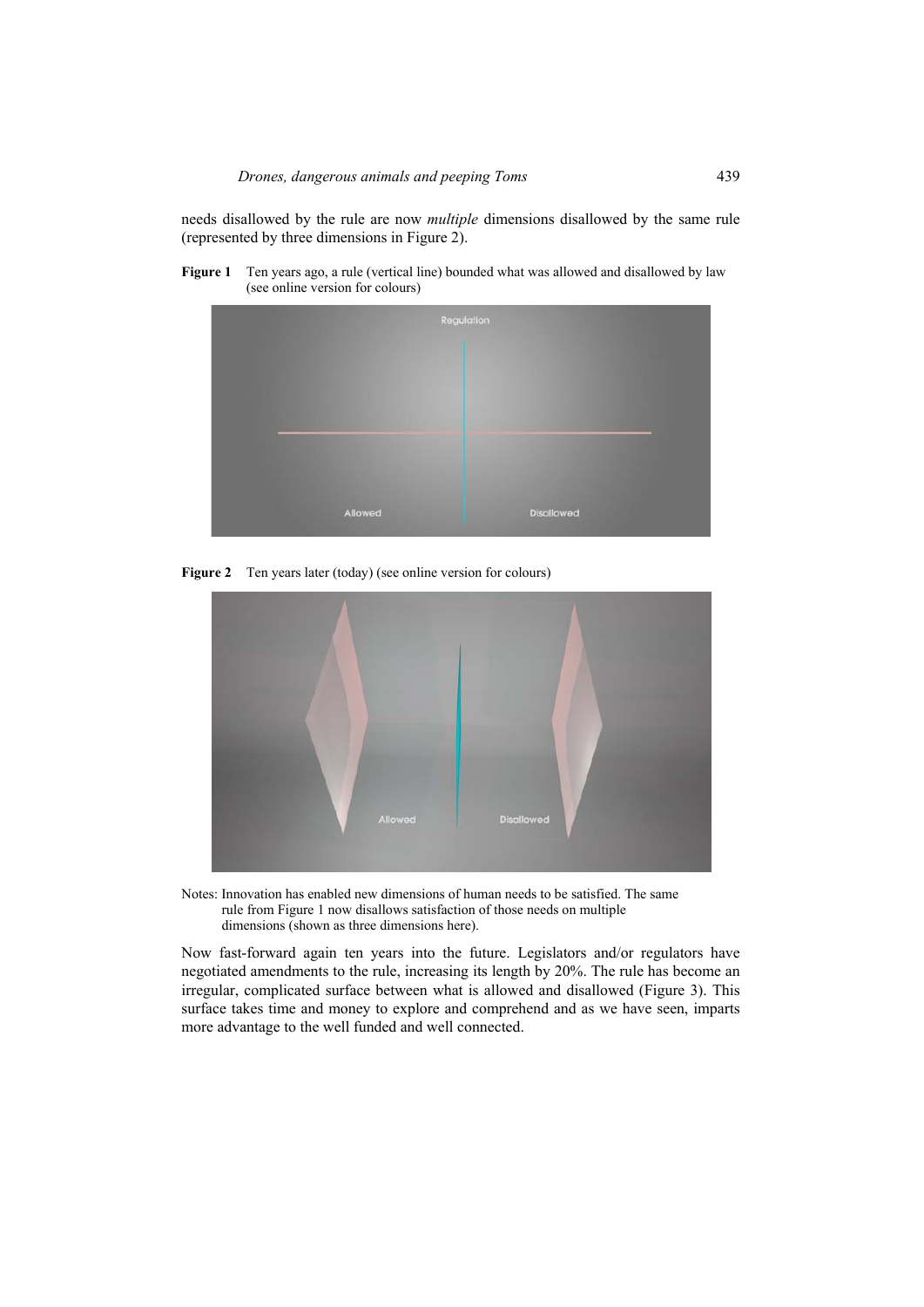needs disallowed by the rule are now *multiple* dimensions disallowed by the same rule (represented by three dimensions in Figure 2).

**Figure 1** Ten years ago, a rule (vertical line) bounded what was allowed and disallowed by law (see online version for colours)



Figure 2 Ten years later (today) (see online version for colours)



Notes: Innovation has enabled new dimensions of human needs to be satisfied. The same rule from Figure 1 now disallows satisfaction of those needs on multiple dimensions (shown as three dimensions here).

Now fast-forward again ten years into the future. Legislators and/or regulators have negotiated amendments to the rule, increasing its length by 20%. The rule has become an irregular, complicated surface between what is allowed and disallowed (Figure 3). This surface takes time and money to explore and comprehend and as we have seen, imparts more advantage to the well funded and well connected.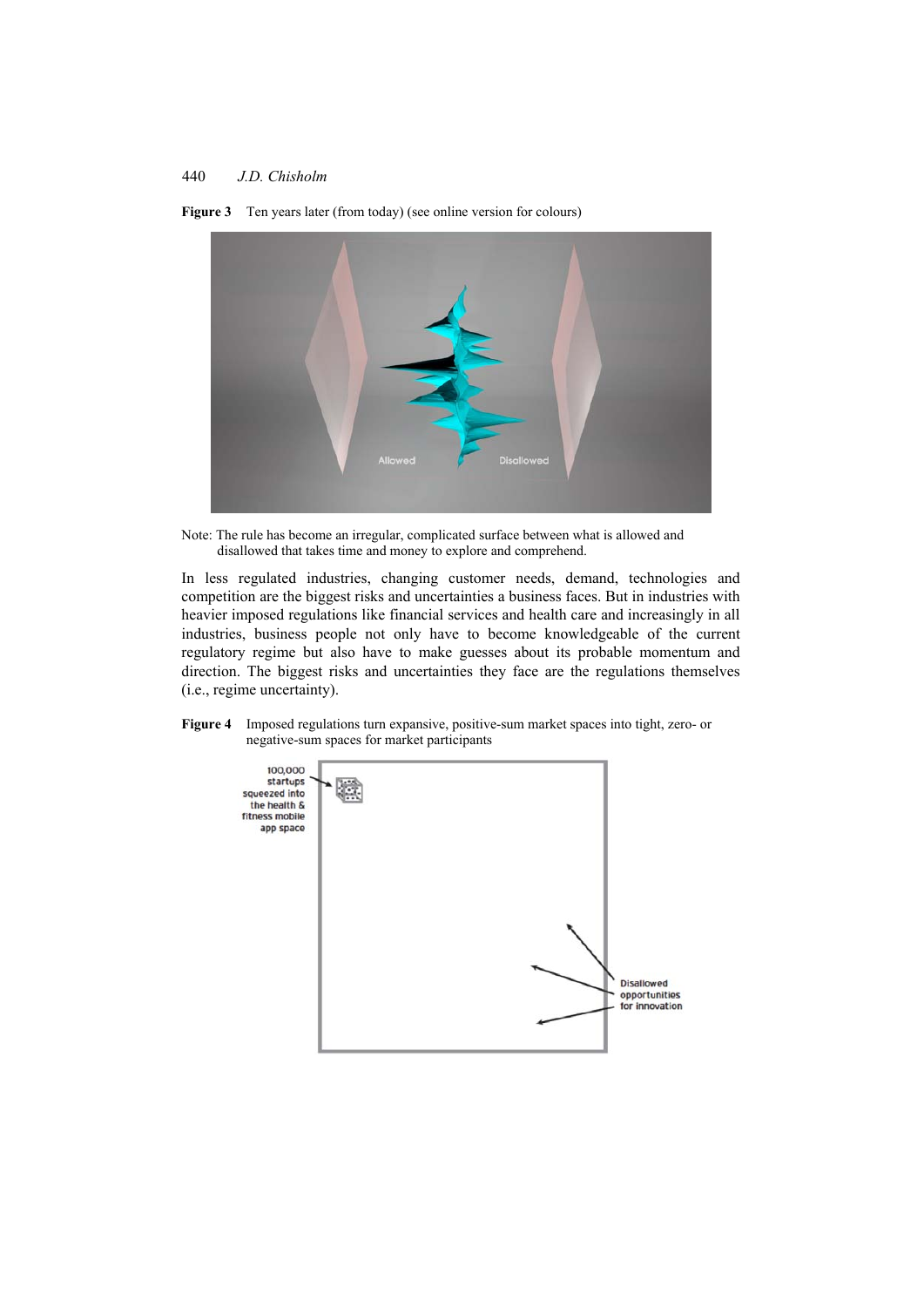

**Figure 3** Ten years later (from today) (see online version for colours)

Note: The rule has become an irregular, complicated surface between what is allowed and disallowed that takes time and money to explore and comprehend.

In less regulated industries, changing customer needs, demand, technologies and competition are the biggest risks and uncertainties a business faces. But in industries with heavier imposed regulations like financial services and health care and increasingly in all industries, business people not only have to become knowledgeable of the current regulatory regime but also have to make guesses about its probable momentum and direction. The biggest risks and uncertainties they face are the regulations themselves (i.e., regime uncertainty).



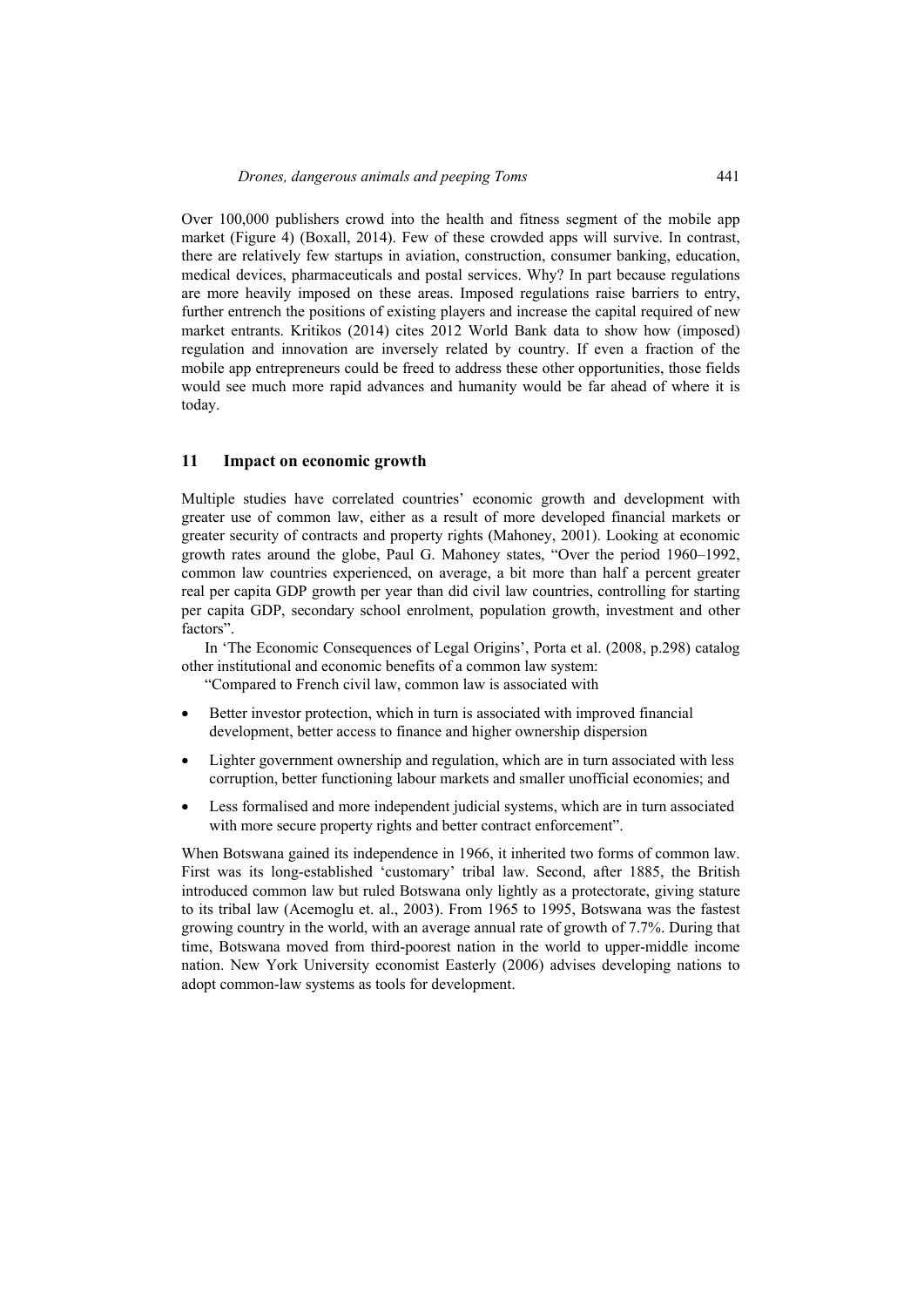Over 100,000 publishers crowd into the health and fitness segment of the mobile app market (Figure 4) (Boxall, 2014). Few of these crowded apps will survive. In contrast, there are relatively few startups in aviation, construction, consumer banking, education, medical devices, pharmaceuticals and postal services. Why? In part because regulations are more heavily imposed on these areas. Imposed regulations raise barriers to entry, further entrench the positions of existing players and increase the capital required of new market entrants. Kritikos (2014) cites 2012 World Bank data to show how (imposed) regulation and innovation are inversely related by country. If even a fraction of the mobile app entrepreneurs could be freed to address these other opportunities, those fields would see much more rapid advances and humanity would be far ahead of where it is today.

#### **11 Impact on economic growth**

Multiple studies have correlated countries' economic growth and development with greater use of common law, either as a result of more developed financial markets or greater security of contracts and property rights (Mahoney, 2001). Looking at economic growth rates around the globe, Paul G. Mahoney states, "Over the period 1960–1992, common law countries experienced, on average, a bit more than half a percent greater real per capita GDP growth per year than did civil law countries, controlling for starting per capita GDP, secondary school enrolment, population growth, investment and other factors".

In 'The Economic Consequences of Legal Origins', Porta et al. (2008, p.298) catalog other institutional and economic benefits of a common law system:

"Compared to French civil law, common law is associated with

- Better investor protection, which in turn is associated with improved financial development, better access to finance and higher ownership dispersion
- Lighter government ownership and regulation, which are in turn associated with less corruption, better functioning labour markets and smaller unofficial economies; and
- Less formalised and more independent judicial systems, which are in turn associated with more secure property rights and better contract enforcement".

When Botswana gained its independence in 1966, it inherited two forms of common law. First was its long-established 'customary' tribal law. Second, after 1885, the British introduced common law but ruled Botswana only lightly as a protectorate, giving stature to its tribal law (Acemoglu et. al., 2003). From 1965 to 1995, Botswana was the fastest growing country in the world, with an average annual rate of growth of 7.7%. During that time, Botswana moved from third-poorest nation in the world to upper-middle income nation. New York University economist Easterly (2006) advises developing nations to adopt common-law systems as tools for development.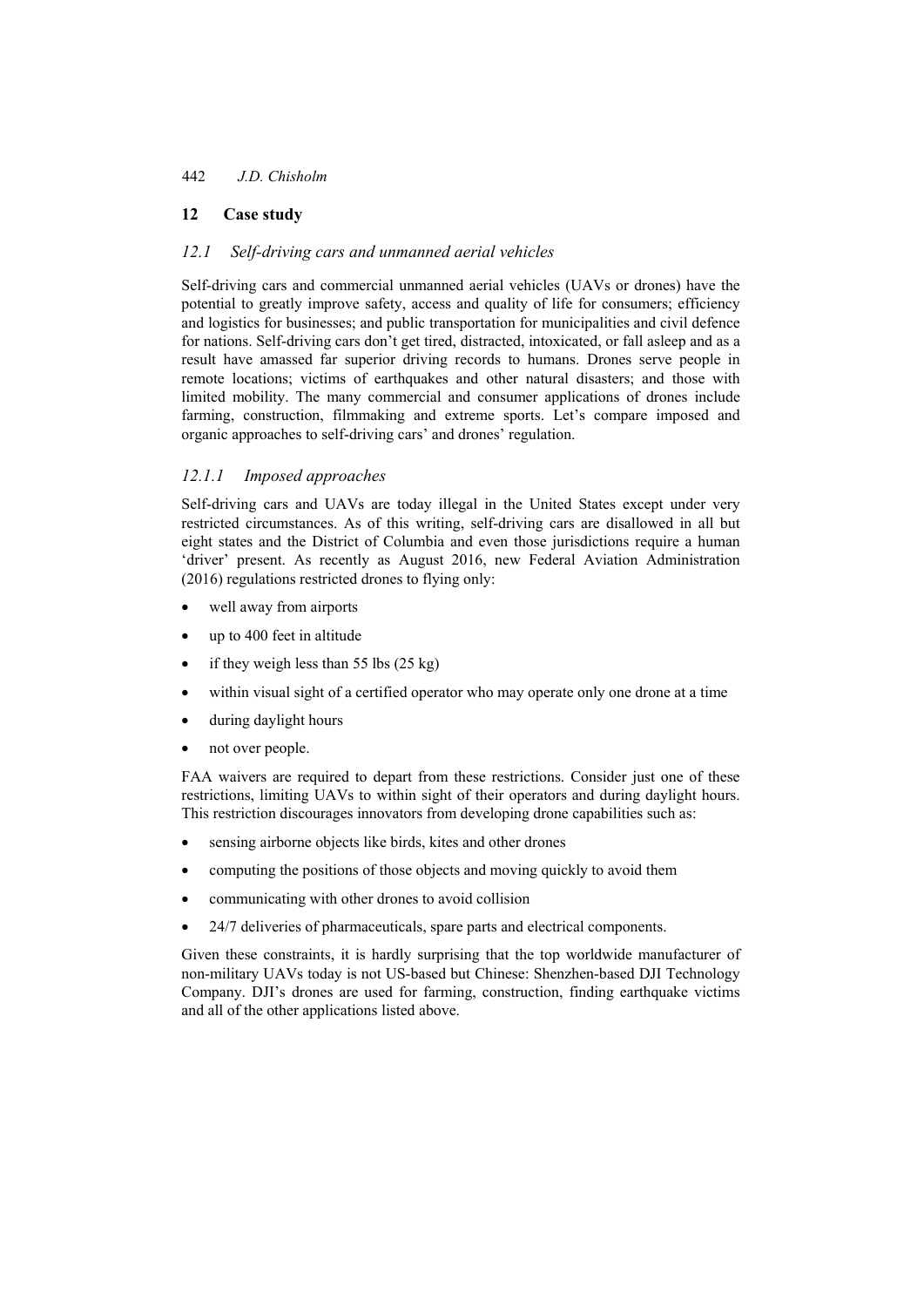## **12 Case study**

## *12.1 Self-driving cars and unmanned aerial vehicles*

Self-driving cars and commercial unmanned aerial vehicles (UAVs or drones) have the potential to greatly improve safety, access and quality of life for consumers; efficiency and logistics for businesses; and public transportation for municipalities and civil defence for nations. Self-driving cars don't get tired, distracted, intoxicated, or fall asleep and as a result have amassed far superior driving records to humans. Drones serve people in remote locations; victims of earthquakes and other natural disasters; and those with limited mobility. The many commercial and consumer applications of drones include farming, construction, filmmaking and extreme sports. Let's compare imposed and organic approaches to self-driving cars' and drones' regulation.

## *12.1.1 Imposed approaches*

Self-driving cars and UAVs are today illegal in the United States except under very restricted circumstances. As of this writing, self-driving cars are disallowed in all but eight states and the District of Columbia and even those jurisdictions require a human 'driver' present. As recently as August 2016, new Federal Aviation Administration (2016) regulations restricted drones to flying only:

- well away from airports
- up to 400 feet in altitude
- if they weigh less than 55 lbs  $(25 \text{ kg})$
- within visual sight of a certified operator who may operate only one drone at a time
- during daylight hours
- not over people.

FAA waivers are required to depart from these restrictions. Consider just one of these restrictions, limiting UAVs to within sight of their operators and during daylight hours. This restriction discourages innovators from developing drone capabilities such as:

- sensing airborne objects like birds, kites and other drones
- computing the positions of those objects and moving quickly to avoid them
- communicating with other drones to avoid collision
- 24/7 deliveries of pharmaceuticals, spare parts and electrical components.

Given these constraints, it is hardly surprising that the top worldwide manufacturer of non-military UAVs today is not US-based but Chinese: Shenzhen-based DJI Technology Company. DJI's drones are used for farming, construction, finding earthquake victims and all of the other applications listed above.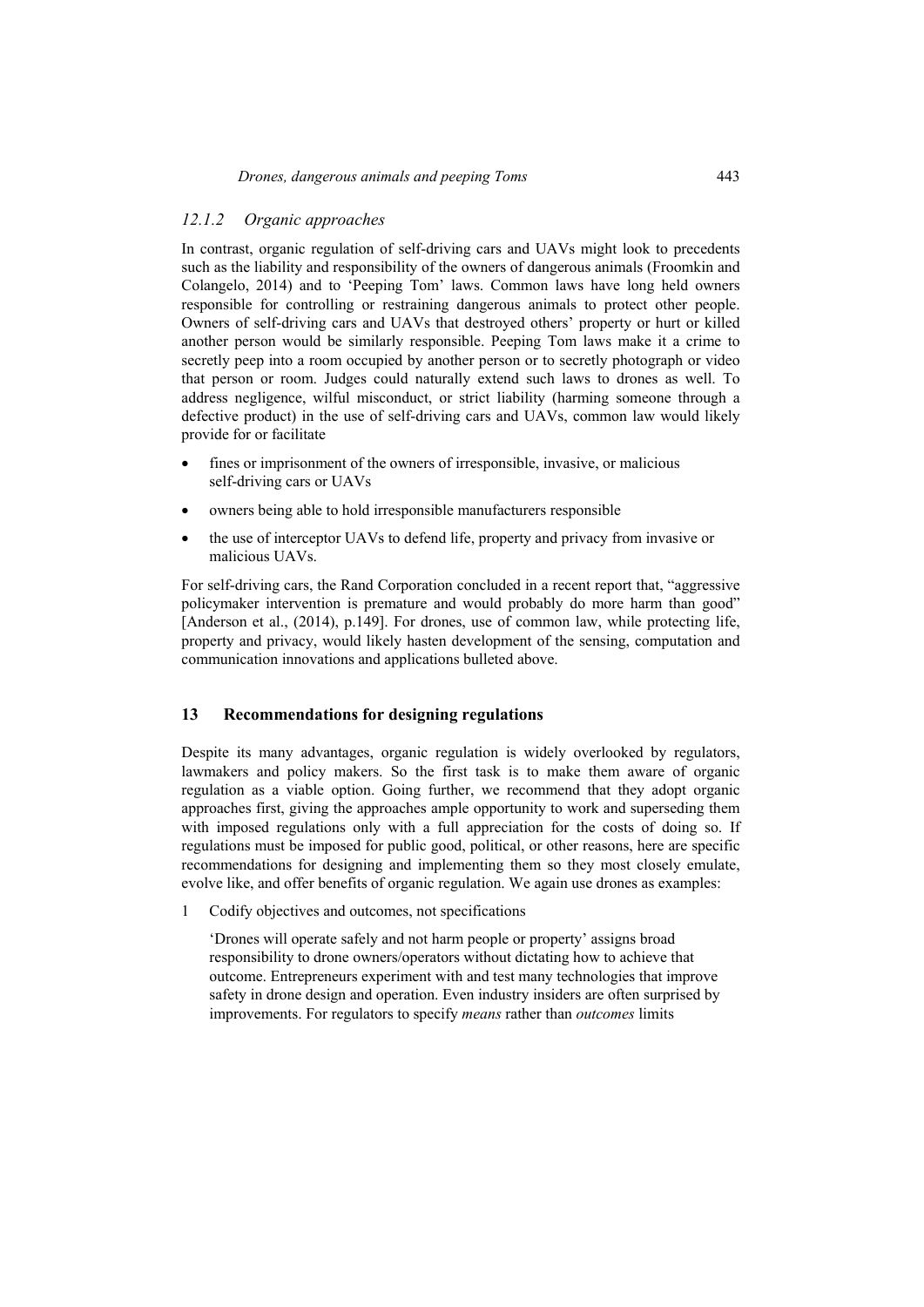## *12.1.2 Organic approaches*

In contrast, organic regulation of self-driving cars and UAVs might look to precedents such as the liability and responsibility of the owners of dangerous animals (Froomkin and Colangelo, 2014) and to 'Peeping Tom' laws. Common laws have long held owners responsible for controlling or restraining dangerous animals to protect other people. Owners of self-driving cars and UAVs that destroyed others' property or hurt or killed another person would be similarly responsible. Peeping Tom laws make it a crime to secretly peep into a room occupied by another person or to secretly photograph or video that person or room. Judges could naturally extend such laws to drones as well. To address negligence, wilful misconduct, or strict liability (harming someone through a defective product) in the use of self-driving cars and UAVs, common law would likely provide for or facilitate

- fines or imprisonment of the owners of irresponsible, invasive, or malicious self-driving cars or UAVs
- owners being able to hold irresponsible manufacturers responsible
- the use of interceptor UAVs to defend life, property and privacy from invasive or malicious UAVs.

For self-driving cars, the Rand Corporation concluded in a recent report that, "aggressive policymaker intervention is premature and would probably do more harm than good" [Anderson et al., (2014), p.149]. For drones, use of common law, while protecting life, property and privacy, would likely hasten development of the sensing, computation and communication innovations and applications bulleted above.

## **13 Recommendations for designing regulations**

Despite its many advantages, organic regulation is widely overlooked by regulators, lawmakers and policy makers. So the first task is to make them aware of organic regulation as a viable option. Going further, we recommend that they adopt organic approaches first, giving the approaches ample opportunity to work and superseding them with imposed regulations only with a full appreciation for the costs of doing so. If regulations must be imposed for public good, political, or other reasons, here are specific recommendations for designing and implementing them so they most closely emulate, evolve like, and offer benefits of organic regulation. We again use drones as examples:

1 Codify objectives and outcomes, not specifications

'Drones will operate safely and not harm people or property' assigns broad responsibility to drone owners/operators without dictating how to achieve that outcome. Entrepreneurs experiment with and test many technologies that improve safety in drone design and operation. Even industry insiders are often surprised by improvements. For regulators to specify *means* rather than *outcomes* limits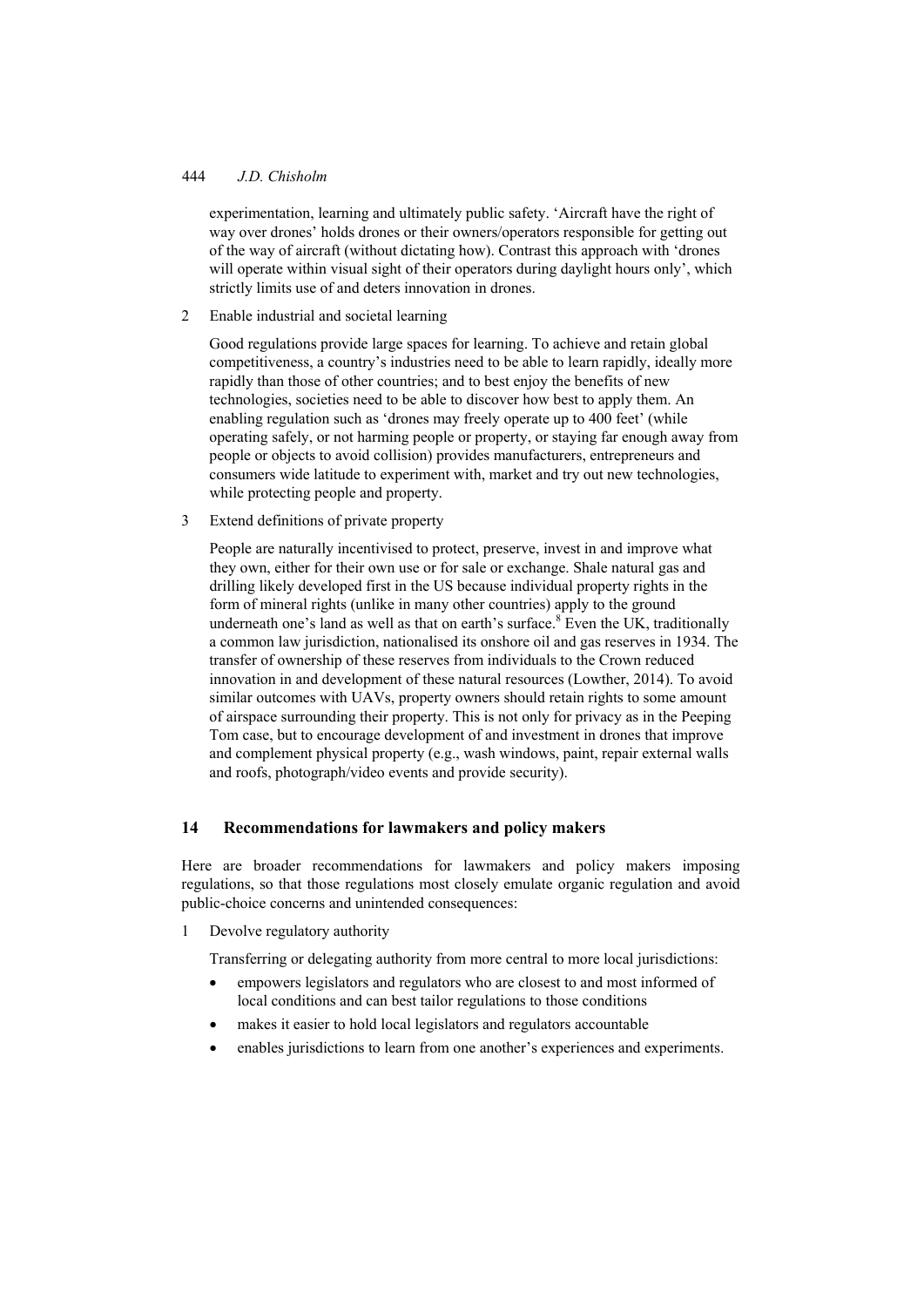experimentation, learning and ultimately public safety. 'Aircraft have the right of way over drones' holds drones or their owners/operators responsible for getting out of the way of aircraft (without dictating how). Contrast this approach with 'drones will operate within visual sight of their operators during daylight hours only', which strictly limits use of and deters innovation in drones.

2 Enable industrial and societal learning

Good regulations provide large spaces for learning. To achieve and retain global competitiveness, a country's industries need to be able to learn rapidly, ideally more rapidly than those of other countries; and to best enjoy the benefits of new technologies, societies need to be able to discover how best to apply them. An enabling regulation such as 'drones may freely operate up to 400 feet' (while operating safely, or not harming people or property, or staying far enough away from people or objects to avoid collision) provides manufacturers, entrepreneurs and consumers wide latitude to experiment with, market and try out new technologies, while protecting people and property.

3 Extend definitions of private property

People are naturally incentivised to protect, preserve, invest in and improve what they own, either for their own use or for sale or exchange. Shale natural gas and drilling likely developed first in the US because individual property rights in the form of mineral rights (unlike in many other countries) apply to the ground underneath one's land as well as that on earth's surface.<sup>8</sup> Even the UK, traditionally a common law jurisdiction, nationalised its onshore oil and gas reserves in 1934. The transfer of ownership of these reserves from individuals to the Crown reduced innovation in and development of these natural resources (Lowther, 2014). To avoid similar outcomes with UAVs, property owners should retain rights to some amount of airspace surrounding their property. This is not only for privacy as in the Peeping Tom case, but to encourage development of and investment in drones that improve and complement physical property (e.g., wash windows, paint, repair external walls and roofs, photograph/video events and provide security).

## **14 Recommendations for lawmakers and policy makers**

Here are broader recommendations for lawmakers and policy makers imposing regulations, so that those regulations most closely emulate organic regulation and avoid public-choice concerns and unintended consequences:

1 Devolve regulatory authority

Transferring or delegating authority from more central to more local jurisdictions:

- empowers legislators and regulators who are closest to and most informed of local conditions and can best tailor regulations to those conditions
- makes it easier to hold local legislators and regulators accountable
- enables jurisdictions to learn from one another's experiences and experiments.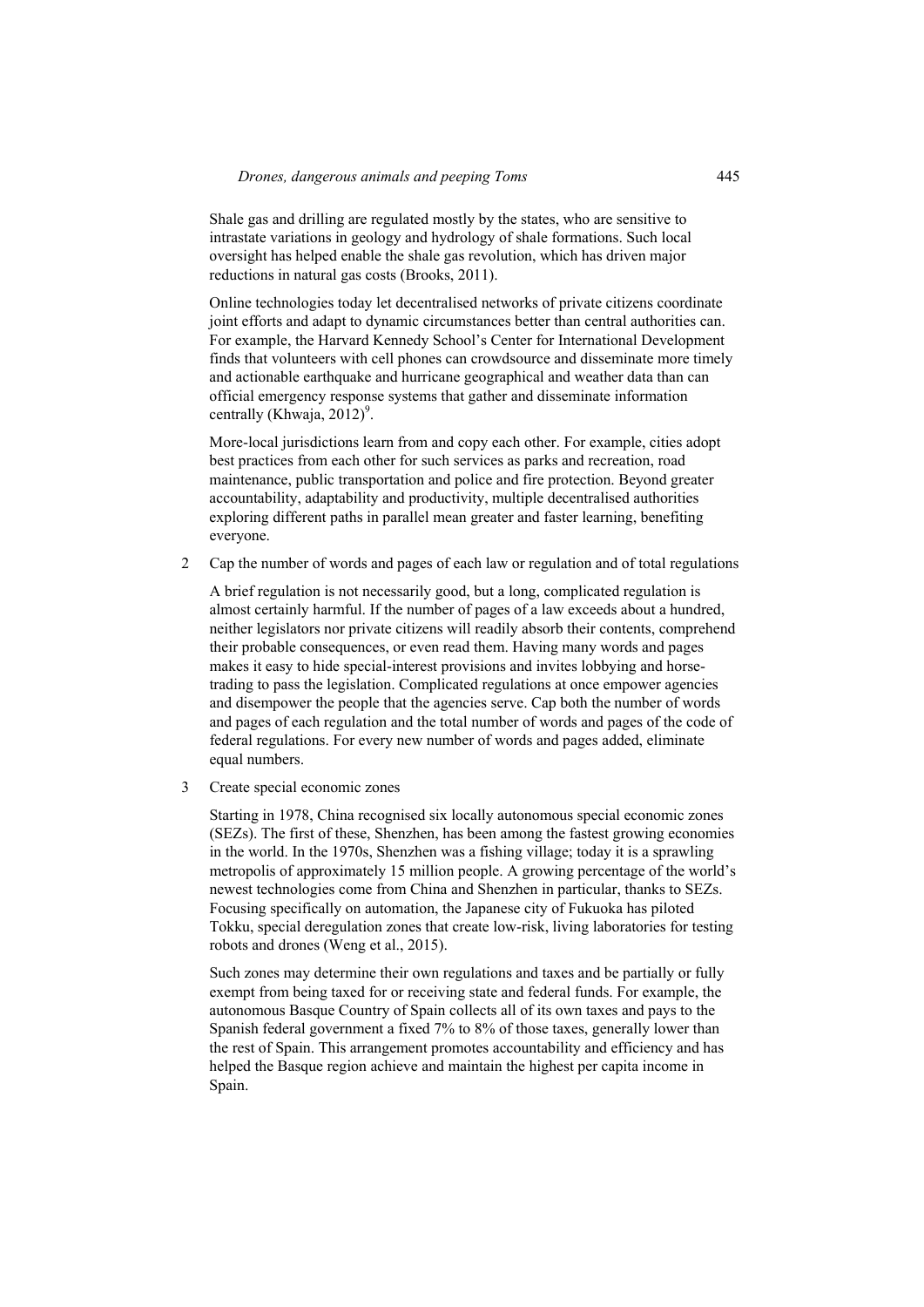Shale gas and drilling are regulated mostly by the states, who are sensitive to intrastate variations in geology and hydrology of shale formations. Such local oversight has helped enable the shale gas revolution, which has driven major reductions in natural gas costs (Brooks, 2011).

Online technologies today let decentralised networks of private citizens coordinate joint efforts and adapt to dynamic circumstances better than central authorities can. For example, the Harvard Kennedy School's Center for International Development finds that volunteers with cell phones can crowdsource and disseminate more timely and actionable earthquake and hurricane geographical and weather data than can official emergency response systems that gather and disseminate information centrally (Khwaja,  $2012$ )<sup>9</sup>.

More-local jurisdictions learn from and copy each other. For example, cities adopt best practices from each other for such services as parks and recreation, road maintenance, public transportation and police and fire protection. Beyond greater accountability, adaptability and productivity, multiple decentralised authorities exploring different paths in parallel mean greater and faster learning, benefiting everyone.

2 Cap the number of words and pages of each law or regulation and of total regulations

A brief regulation is not necessarily good, but a long, complicated regulation is almost certainly harmful. If the number of pages of a law exceeds about a hundred, neither legislators nor private citizens will readily absorb their contents, comprehend their probable consequences, or even read them. Having many words and pages makes it easy to hide special-interest provisions and invites lobbying and horsetrading to pass the legislation. Complicated regulations at once empower agencies and disempower the people that the agencies serve. Cap both the number of words and pages of each regulation and the total number of words and pages of the code of federal regulations. For every new number of words and pages added, eliminate equal numbers.

3 Create special economic zones

Starting in 1978, China recognised six locally autonomous special economic zones (SEZs). The first of these, Shenzhen, has been among the fastest growing economies in the world. In the 1970s, Shenzhen was a fishing village; today it is a sprawling metropolis of approximately 15 million people. A growing percentage of the world's newest technologies come from China and Shenzhen in particular, thanks to SEZs. Focusing specifically on automation, the Japanese city of Fukuoka has piloted Tokku, special deregulation zones that create low-risk, living laboratories for testing robots and drones (Weng et al., 2015).

Such zones may determine their own regulations and taxes and be partially or fully exempt from being taxed for or receiving state and federal funds. For example, the autonomous Basque Country of Spain collects all of its own taxes and pays to the Spanish federal government a fixed 7% to 8% of those taxes, generally lower than the rest of Spain. This arrangement promotes accountability and efficiency and has helped the Basque region achieve and maintain the highest per capita income in Spain.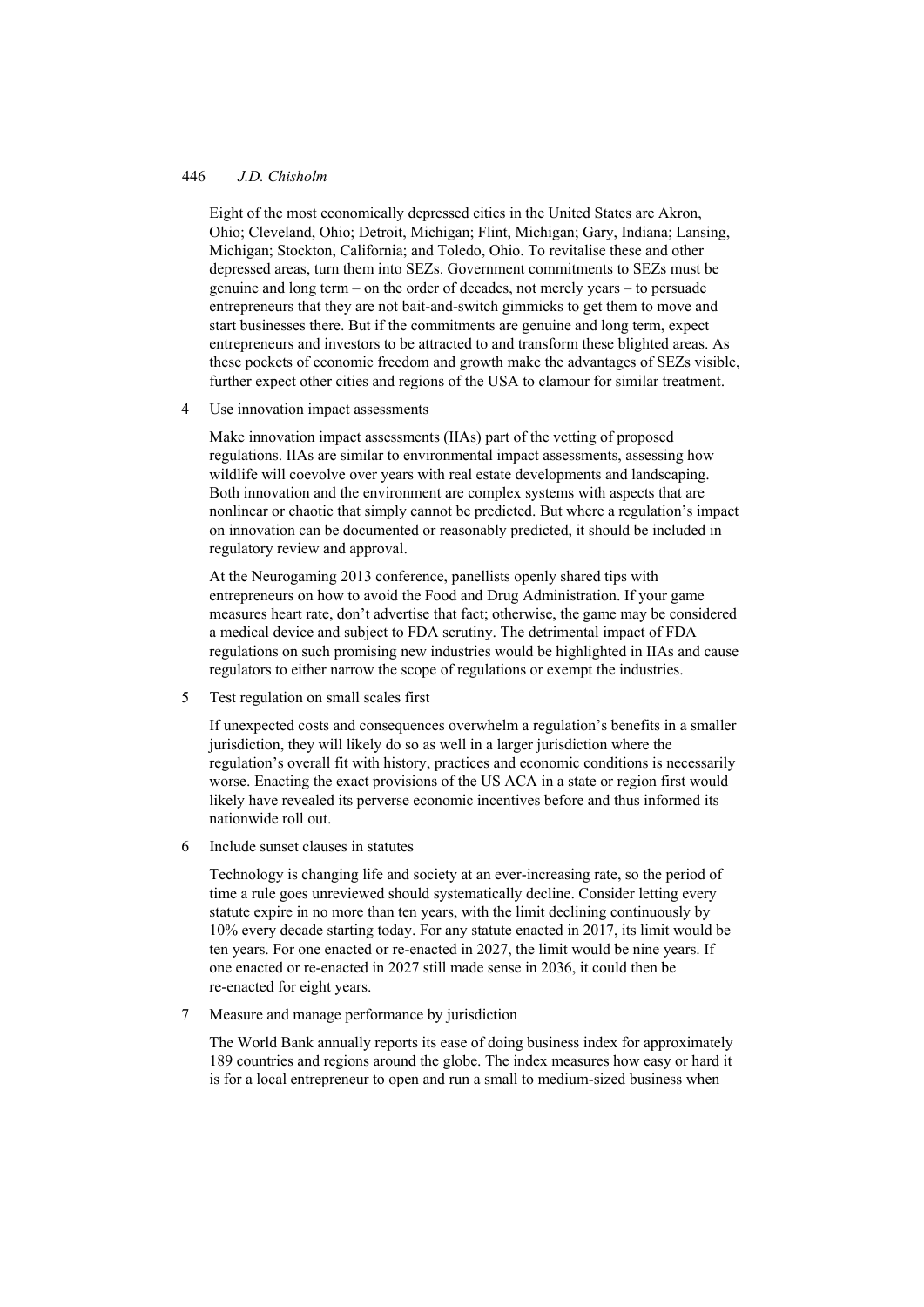Eight of the most economically depressed cities in the United States are Akron, Ohio; Cleveland, Ohio; Detroit, Michigan; Flint, Michigan; Gary, Indiana; Lansing, Michigan; Stockton, California; and Toledo, Ohio. To revitalise these and other depressed areas, turn them into SEZs. Government commitments to SEZs must be genuine and long term – on the order of decades, not merely years – to persuade entrepreneurs that they are not bait-and-switch gimmicks to get them to move and start businesses there. But if the commitments are genuine and long term, expect entrepreneurs and investors to be attracted to and transform these blighted areas. As these pockets of economic freedom and growth make the advantages of SEZs visible, further expect other cities and regions of the USA to clamour for similar treatment.

4 Use innovation impact assessments

Make innovation impact assessments (IIAs) part of the vetting of proposed regulations. IIAs are similar to environmental impact assessments, assessing how wildlife will coevolve over years with real estate developments and landscaping. Both innovation and the environment are complex systems with aspects that are nonlinear or chaotic that simply cannot be predicted. But where a regulation's impact on innovation can be documented or reasonably predicted, it should be included in regulatory review and approval.

At the Neurogaming 2013 conference, panellists openly shared tips with entrepreneurs on how to avoid the Food and Drug Administration. If your game measures heart rate, don't advertise that fact; otherwise, the game may be considered a medical device and subject to FDA scrutiny. The detrimental impact of FDA regulations on such promising new industries would be highlighted in IIAs and cause regulators to either narrow the scope of regulations or exempt the industries.

5 Test regulation on small scales first

If unexpected costs and consequences overwhelm a regulation's benefits in a smaller jurisdiction, they will likely do so as well in a larger jurisdiction where the regulation's overall fit with history, practices and economic conditions is necessarily worse. Enacting the exact provisions of the US ACA in a state or region first would likely have revealed its perverse economic incentives before and thus informed its nationwide roll out.

6 Include sunset clauses in statutes

Technology is changing life and society at an ever-increasing rate, so the period of time a rule goes unreviewed should systematically decline. Consider letting every statute expire in no more than ten years, with the limit declining continuously by 10% every decade starting today. For any statute enacted in 2017, its limit would be ten years. For one enacted or re-enacted in 2027, the limit would be nine years. If one enacted or re-enacted in 2027 still made sense in 2036, it could then be re-enacted for eight years.

7 Measure and manage performance by jurisdiction

The World Bank annually reports its ease of doing business index for approximately 189 countries and regions around the globe. The index measures how easy or hard it is for a local entrepreneur to open and run a small to medium-sized business when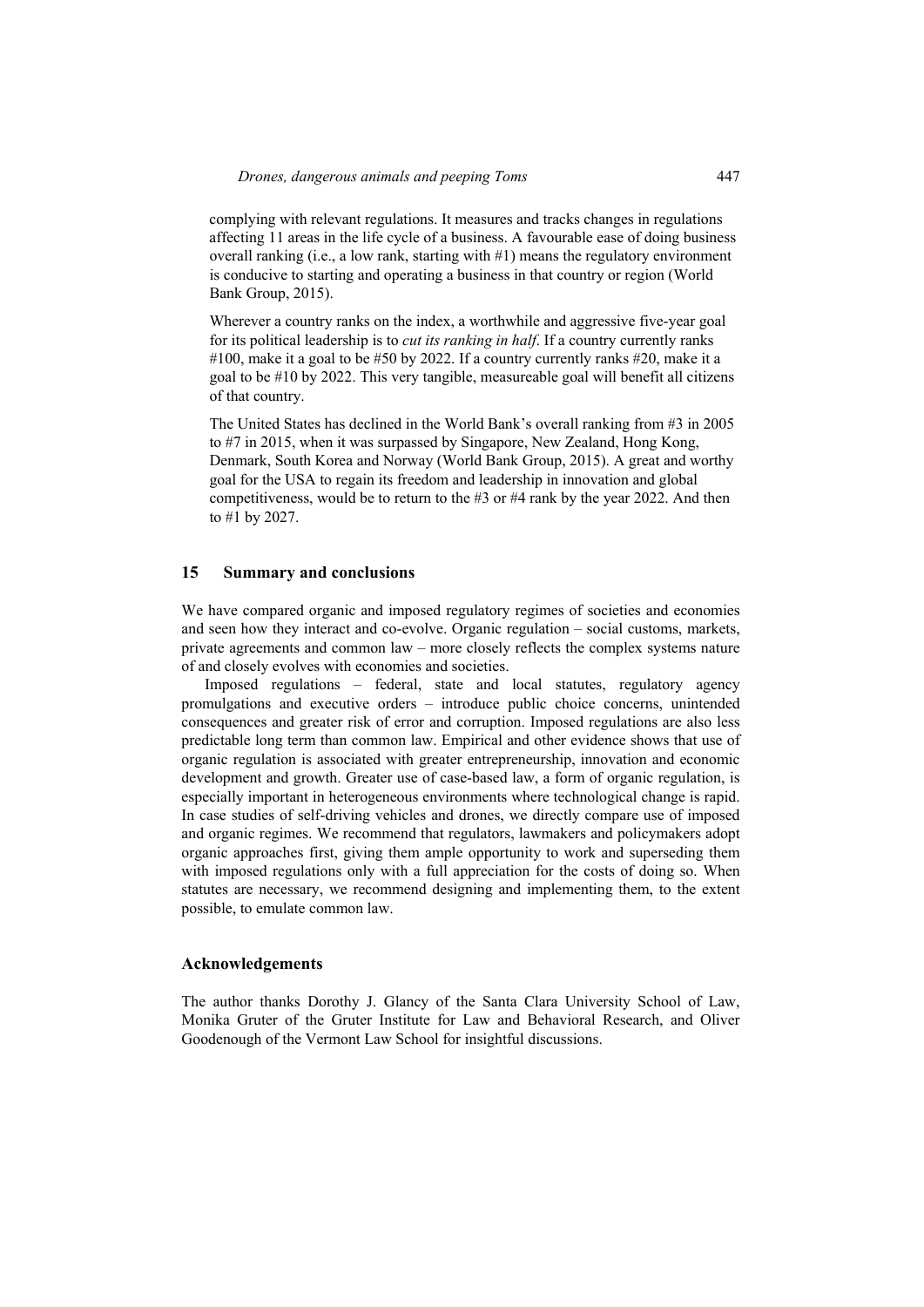complying with relevant regulations. It measures and tracks changes in regulations affecting 11 areas in the life cycle of a business. A favourable ease of doing business overall ranking (i.e., a low rank, starting with #1) means the regulatory environment is conducive to starting and operating a business in that country or region (World Bank Group, 2015).

Wherever a country ranks on the index, a worthwhile and aggressive five-year goal for its political leadership is to *cut its ranking in half*. If a country currently ranks #100, make it a goal to be #50 by 2022. If a country currently ranks #20, make it a goal to be #10 by 2022. This very tangible, measureable goal will benefit all citizens of that country.

The United States has declined in the World Bank's overall ranking from #3 in 2005 to #7 in 2015, when it was surpassed by Singapore, New Zealand, Hong Kong, Denmark, South Korea and Norway (World Bank Group, 2015). A great and worthy goal for the USA to regain its freedom and leadership in innovation and global competitiveness, would be to return to the #3 or #4 rank by the year 2022. And then to #1 by 2027.

## **15 Summary and conclusions**

We have compared organic and imposed regulatory regimes of societies and economies and seen how they interact and co-evolve. Organic regulation – social customs, markets, private agreements and common law – more closely reflects the complex systems nature of and closely evolves with economies and societies.

Imposed regulations – federal, state and local statutes, regulatory agency promulgations and executive orders – introduce public choice concerns, unintended consequences and greater risk of error and corruption. Imposed regulations are also less predictable long term than common law. Empirical and other evidence shows that use of organic regulation is associated with greater entrepreneurship, innovation and economic development and growth. Greater use of case-based law, a form of organic regulation, is especially important in heterogeneous environments where technological change is rapid. In case studies of self-driving vehicles and drones, we directly compare use of imposed and organic regimes. We recommend that regulators, lawmakers and policymakers adopt organic approaches first, giving them ample opportunity to work and superseding them with imposed regulations only with a full appreciation for the costs of doing so. When statutes are necessary, we recommend designing and implementing them, to the extent possible, to emulate common law.

## **Acknowledgements**

The author thanks Dorothy J. Glancy of the Santa Clara University School of Law, Monika Gruter of the Gruter Institute for Law and Behavioral Research, and Oliver Goodenough of the Vermont Law School for insightful discussions.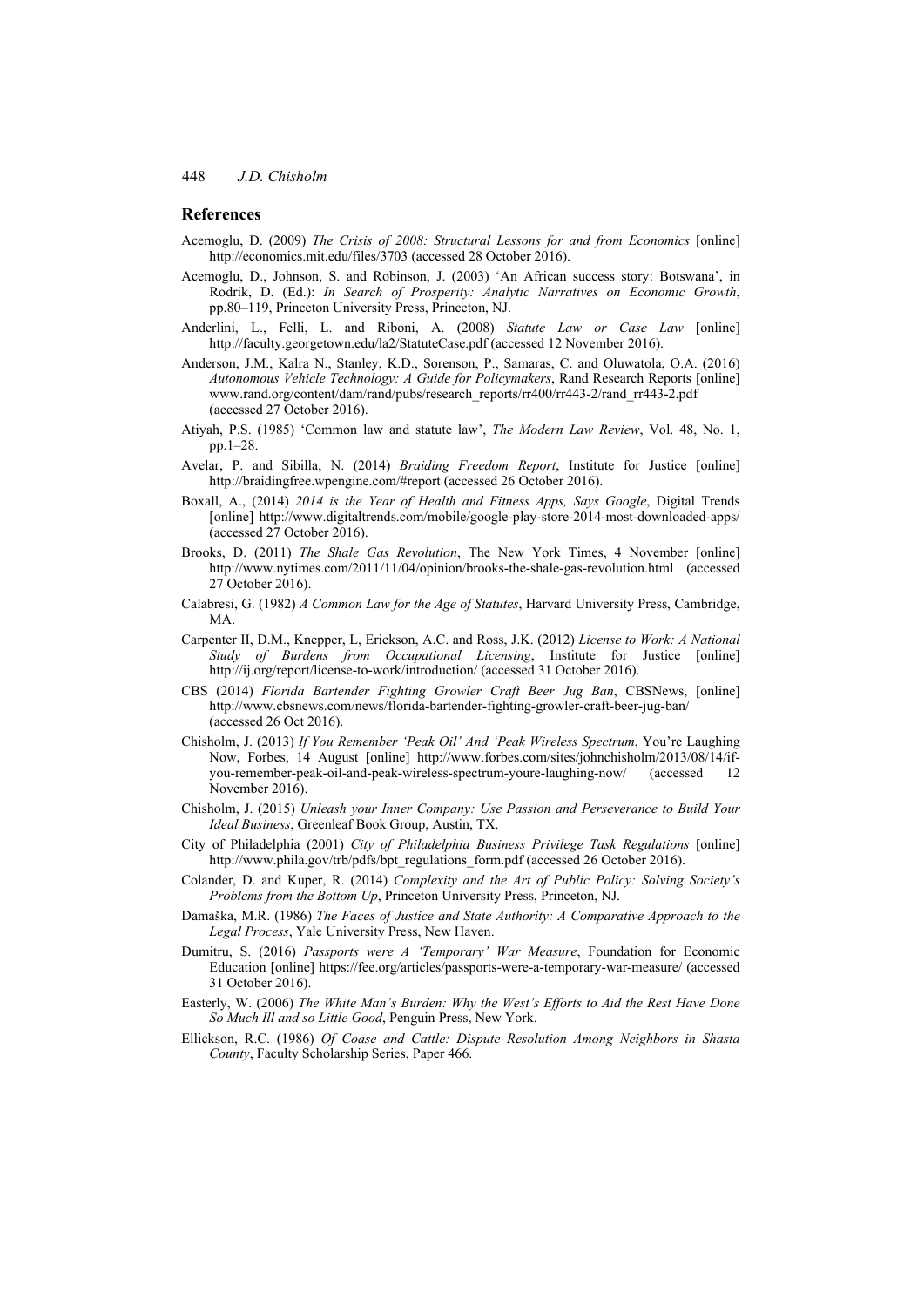#### **References**

- Acemoglu, D. (2009) *The Crisis of 2008: Structural Lessons for and from Economics* [online] http://economics.mit.edu/files/3703 (accessed 28 October 2016).
- Acemoglu, D., Johnson, S. and Robinson, J. (2003) 'An African success story: Botswana', in Rodrik, D. (Ed.): *In Search of Prosperity: Analytic Narratives on Economic Growth*, pp.80–119, Princeton University Press, Princeton, NJ.
- Anderlini, L., Felli, L. and Riboni, A. (2008) *Statute Law or Case Law* [online] http://faculty.georgetown.edu/la2/StatuteCase.pdf (accessed 12 November 2016).
- Anderson, J.M., Kalra N., Stanley, K.D., Sorenson, P., Samaras, C. and Oluwatola, O.A. (2016) *Autonomous Vehicle Technology: A Guide for Policymakers*, Rand Research Reports [online] www.rand.org/content/dam/rand/pubs/research\_reports/rr400/rr443-2/rand\_rr443-2.pdf (accessed 27 October 2016).
- Atiyah, P.S. (1985) 'Common law and statute law', *The Modern Law Review*, Vol. 48, No. 1, pp.1–28.
- Avelar, P. and Sibilla, N. (2014) *Braiding Freedom Report*, Institute for Justice [online] http://braidingfree.wpengine.com/#report (accessed 26 October 2016).
- Boxall, A., (2014) *2014 is the Year of Health and Fitness Apps, Says Google*, Digital Trends [online] http://www.digitaltrends.com/mobile/google-play-store-2014-most-downloaded-apps/ (accessed 27 October 2016).
- Brooks, D. (2011) *The Shale Gas Revolution*, The New York Times, 4 November [online] http://www.nytimes.com/2011/11/04/opinion/brooks-the-shale-gas-revolution.html (accessed 27 October 2016).
- Calabresi, G. (1982) *A Common Law for the Age of Statutes*, Harvard University Press, Cambridge, MA.
- Carpenter II, D.M., Knepper, L, Erickson, A.C. and Ross, J.K. (2012) *License to Work: A National Study of Burdens from Occupational Licensing*, Institute for Justice [online] http://ij.org/report/license-to-work/introduction/ (accessed 31 October 2016).
- CBS (2014) *Florida Bartender Fighting Growler Craft Beer Jug Ban*, CBSNews, [online] http://www.cbsnews.com/news/florida-bartender-fighting-growler-craft-beer-jug-ban/ (accessed 26 Oct 2016).
- Chisholm, J. (2013) *If You Remember 'Peak Oil' And 'Peak Wireless Spectrum*, You're Laughing Now, Forbes, 14 August [online] http://www.forbes.com/sites/johnchisholm/2013/08/14/ifyou-remember-peak-oil-and-peak-wireless-spectrum-youre-laughing-now/ (accessed 12 November 2016).
- Chisholm, J. (2015) *Unleash your Inner Company: Use Passion and Perseverance to Build Your Ideal Business*, Greenleaf Book Group, Austin, TX.
- City of Philadelphia (2001) *City of Philadelphia Business Privilege Task Regulations* [online] http://www.phila.gov/trb/pdfs/bpt\_regulations\_form.pdf (accessed 26 October 2016).
- Colander, D. and Kuper, R. (2014) *Complexity and the Art of Public Policy: Solving Society's Problems from the Bottom Up*, Princeton University Press, Princeton, NJ.
- Damaška, M.R. (1986) *The Faces of Justice and State Authority: A Comparative Approach to the Legal Process*, Yale University Press, New Haven.
- Dumitru, S. (2016) *Passports were A 'Temporary' War Measure*, Foundation for Economic Education [online] https://fee.org/articles/passports-were-a-temporary-war-measure/ (accessed 31 October 2016).
- Easterly, W. (2006) *The White Man's Burden: Why the West's Efforts to Aid the Rest Have Done So Much Ill and so Little Good*, Penguin Press, New York.
- Ellickson, R.C. (1986) *Of Coase and Cattle: Dispute Resolution Among Neighbors in Shasta County*, Faculty Scholarship Series, Paper 466.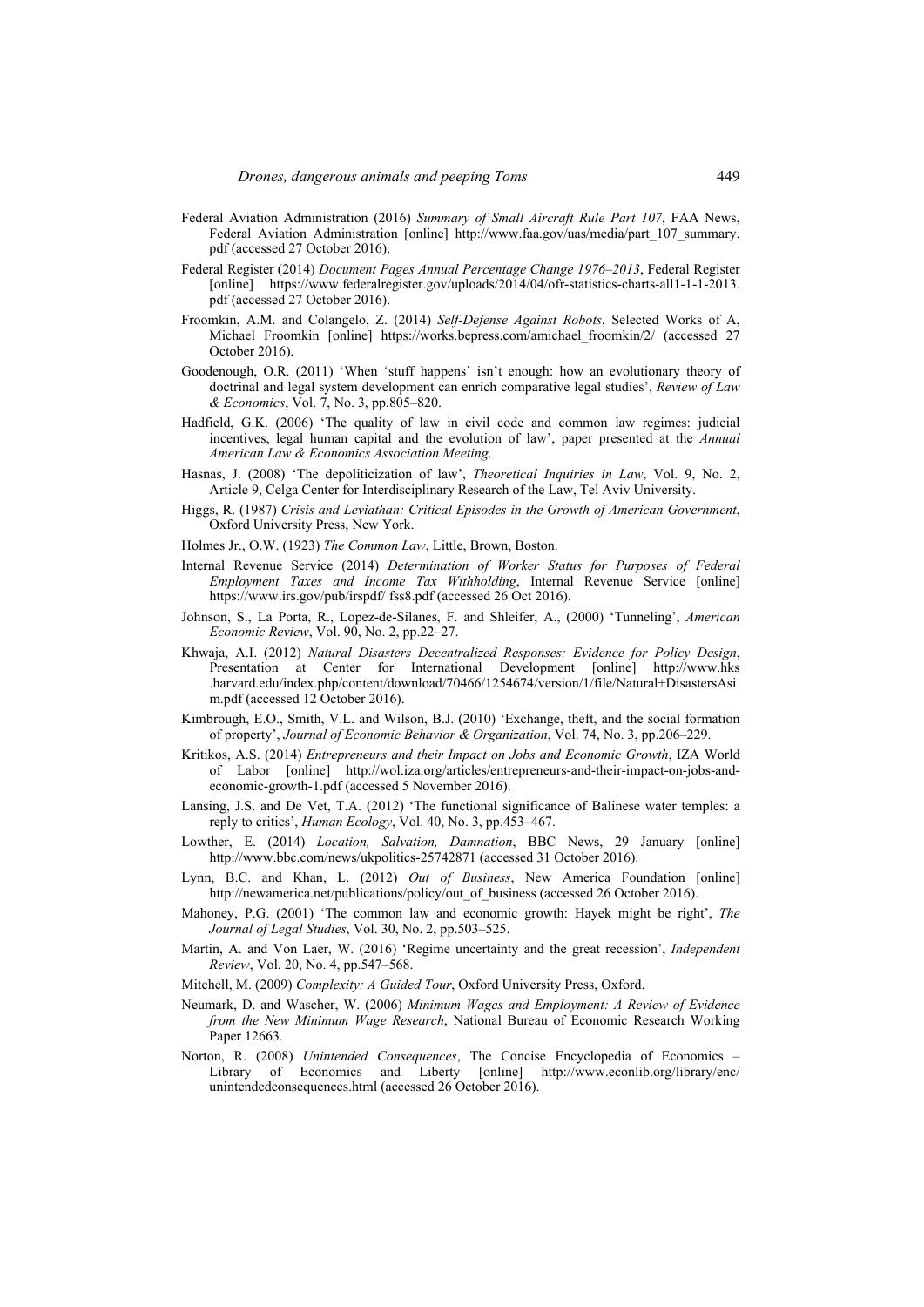- Federal Aviation Administration (2016) *Summary of Small Aircraft Rule Part 107*, FAA News, Federal Aviation Administration [online] http://www.faa.gov/uas/media/part\_107\_summary. pdf (accessed 27 October 2016).
- Federal Register (2014) *Document Pages Annual Percentage Change 1976–2013*, Federal Register [online] https://www.federalregister.gov/uploads/2014/04/ofr-statistics-charts-all1-1-1-2013. pdf (accessed 27 October 2016).
- Froomkin, A.M. and Colangelo, Z. (2014) *Self-Defense Against Robots*, Selected Works of A, Michael Froomkin [online] https://works.bepress.com/amichael\_froomkin/2/ (accessed 27 October 2016).
- Goodenough, O.R. (2011) 'When 'stuff happens' isn't enough: how an evolutionary theory of doctrinal and legal system development can enrich comparative legal studies', *Review of Law & Economics*, Vol. 7, No. 3, pp.805–820.
- Hadfield, G.K. (2006) 'The quality of law in civil code and common law regimes: judicial incentives, legal human capital and the evolution of law', paper presented at the *Annual American Law & Economics Association Meeting*.
- Hasnas, J. (2008) 'The depoliticization of law', *Theoretical Inquiries in Law*, Vol. 9, No. 2, Article 9, Celga Center for Interdisciplinary Research of the Law, Tel Aviv University.
- Higgs, R. (1987) *Crisis and Leviathan: Critical Episodes in the Growth of American Government*, Oxford University Press, New York.
- Holmes Jr., O.W. (1923) *The Common Law*, Little, Brown, Boston.
- Internal Revenue Service (2014) *Determination of Worker Status for Purposes of Federal Employment Taxes and Income Tax Withholding*, Internal Revenue Service [online] https://www.irs.gov/pub/irspdf/ fss8.pdf (accessed 26 Oct 2016).
- Johnson, S., La Porta, R., Lopez-de-Silanes, F. and Shleifer, A., (2000) 'Tunneling', *American Economic Review*, Vol. 90, No. 2, pp.22–27.
- Khwaja, A.I. (2012) *Natural Disasters Decentralized Responses: Evidence for Policy Design*, Presentation at Center for International Development [online] http://www.hks .harvard.edu/index.php/content/download/70466/1254674/version/1/file/Natural+DisastersAsi m.pdf (accessed 12 October 2016).
- Kimbrough, E.O., Smith, V.L. and Wilson, B.J. (2010) 'Exchange, theft, and the social formation of property', *Journal of Economic Behavior & Organization*, Vol. 74, No. 3, pp.206–229.
- Kritikos, A.S. (2014) *Entrepreneurs and their Impact on Jobs and Economic Growth*, IZA World of Labor [online] http://wol.iza.org/articles/entrepreneurs-and-their-impact-on-jobs-andeconomic-growth-1.pdf (accessed 5 November 2016).
- Lansing, J.S. and De Vet, T.A. (2012) 'The functional significance of Balinese water temples: a reply to critics', *Human Ecology*, Vol. 40, No. 3, pp.453–467.
- Lowther, E. (2014) *Location, Salvation, Damnation*, BBC News, 29 January [online] http://www.bbc.com/news/ukpolitics-25742871 (accessed 31 October 2016).
- Lynn, B.C. and Khan, L. (2012) *Out of Business*, New America Foundation [online] http://newamerica.net/publications/policy/out\_of\_business (accessed 26 October 2016).
- Mahoney, P.G. (2001) 'The common law and economic growth: Hayek might be right', *The Journal of Legal Studies*, Vol. 30, No. 2, pp.503–525.
- Martin, A. and Von Laer, W. (2016) 'Regime uncertainty and the great recession', *Independent Review*, Vol. 20, No. 4, pp.547–568.
- Mitchell, M. (2009) *Complexity: A Guided Tour*, Oxford University Press, Oxford.
- Neumark, D. and Wascher, W. (2006) *Minimum Wages and Employment: A Review of Evidence from the New Minimum Wage Research*, National Bureau of Economic Research Working Paper 12663.
- Norton, R. (2008) *Unintended Consequences*, The Concise Encyclopedia of Economics Library of Economics and Liberty [online] http://www.econlib.org/library/enc/ unintendedconsequences.html (accessed 26 October 2016).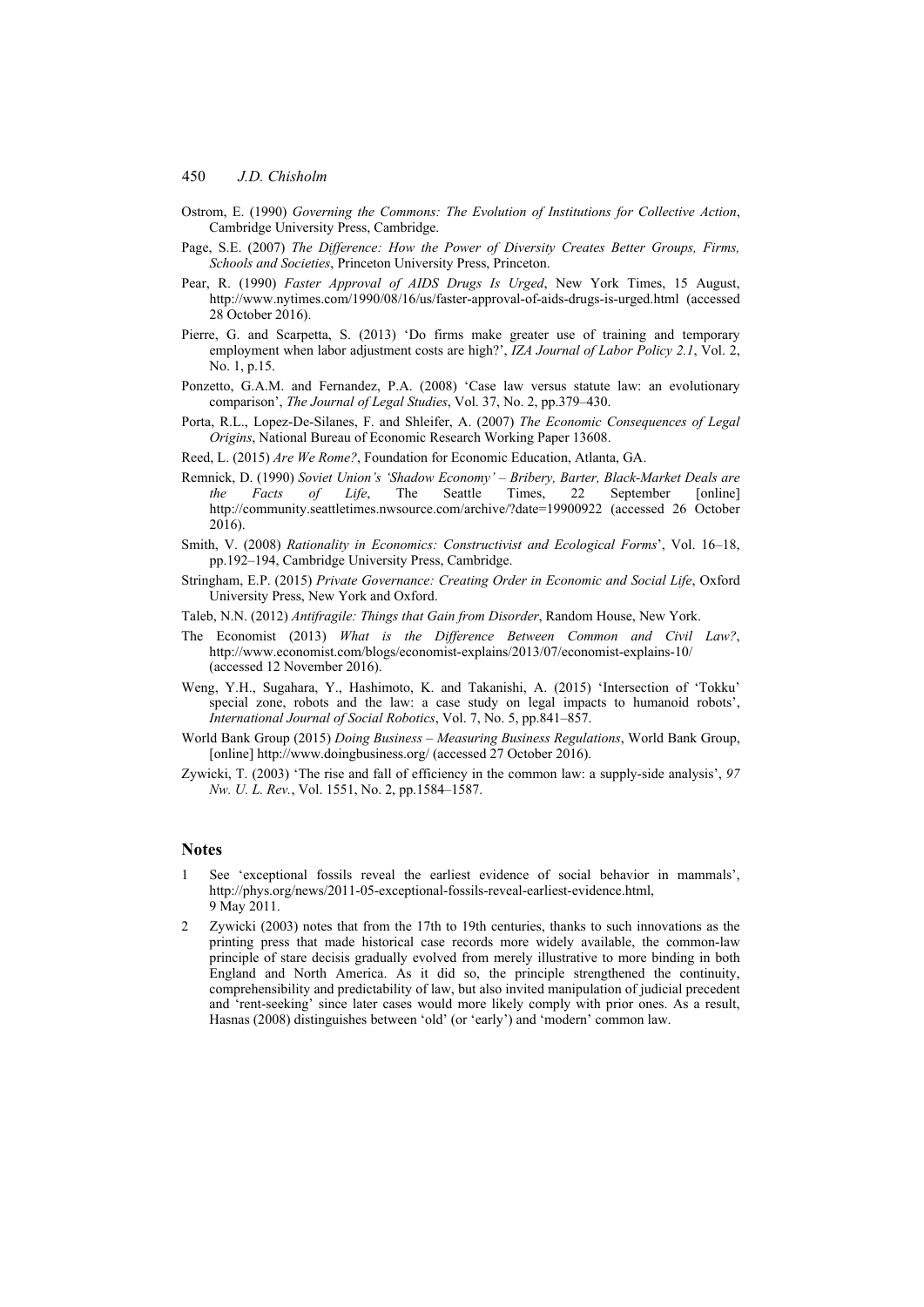- Ostrom, E. (1990) *Governing the Commons: The Evolution of Institutions for Collective Action*, Cambridge University Press, Cambridge.
- Page, S.E. (2007) *The Difference: How the Power of Diversity Creates Better Groups, Firms, Schools and Societies*, Princeton University Press, Princeton.
- Pear, R. (1990) *Faster Approval of AIDS Drugs Is Urged*, New York Times, 15 August, http://www.nytimes.com/1990/08/16/us/faster-approval-of-aids-drugs-is-urged.html (accessed 28 October 2016).
- Pierre, G. and Scarpetta, S. (2013) 'Do firms make greater use of training and temporary employment when labor adjustment costs are high?', *IZA Journal of Labor Policy 2.1*, Vol. 2, No. 1, p.15.
- Ponzetto, G.A.M. and Fernandez, P.A. (2008) 'Case law versus statute law: an evolutionary comparison', *The Journal of Legal Studies*, Vol. 37, No. 2, pp.379–430.
- Porta, R.L., Lopez-De-Silanes, F. and Shleifer, A. (2007) *The Economic Consequences of Legal Origins*, National Bureau of Economic Research Working Paper 13608.
- Reed, L. (2015) *Are We Rome?*, Foundation for Economic Education, Atlanta, GA.
- Remnick, D. (1990) *Soviet Union's 'Shadow Economy' Bribery, Barter, Black-Market Deals are the Facts of Life*, The Seattle Times, 22 September [online] http://community.seattletimes.nwsource.com/archive/?date=19900922 (accessed 26 October 2016).
- Smith, V. (2008) *Rationality in Economics: Constructivist and Ecological Forms*', Vol. 16–18, pp.192–194, Cambridge University Press, Cambridge.
- Stringham, E.P. (2015) *Private Governance: Creating Order in Economic and Social Life*, Oxford University Press, New York and Oxford.
- Taleb, N.N. (2012) *Antifragile: Things that Gain from Disorder*, Random House, New York.
- The Economist (2013) *What is the Difference Between Common and Civil Law?*, http://www.economist.com/blogs/economist-explains/2013/07/economist-explains-10/ (accessed 12 November 2016).
- Weng, Y.H., Sugahara, Y., Hashimoto, K. and Takanishi, A. (2015) 'Intersection of 'Tokku' special zone, robots and the law: a case study on legal impacts to humanoid robots', *International Journal of Social Robotics*, Vol. 7, No. 5, pp.841–857.
- World Bank Group (2015) *Doing Business Measuring Business Regulations*, World Bank Group, [online] http://www.doingbusiness.org/ (accessed 27 October 2016).
- Zywicki, T. (2003) 'The rise and fall of efficiency in the common law: a supply-side analysis', *97 Nw. U. L. Rev.*, Vol. 1551, No. 2, pp.1584–1587.

## **Notes**

- See 'exceptional fossils reveal the earliest evidence of social behavior in mammals', http://phys.org/news/2011-05-exceptional-fossils-reveal-earliest-evidence.html, 9 May 2011.
- 2 Zywicki (2003) notes that from the 17th to 19th centuries, thanks to such innovations as the printing press that made historical case records more widely available, the common-law principle of stare decisis gradually evolved from merely illustrative to more binding in both England and North America. As it did so, the principle strengthened the continuity, comprehensibility and predictability of law, but also invited manipulation of judicial precedent and 'rent-seeking' since later cases would more likely comply with prior ones. As a result, Hasnas (2008) distinguishes between 'old' (or 'early') and 'modern' common law.